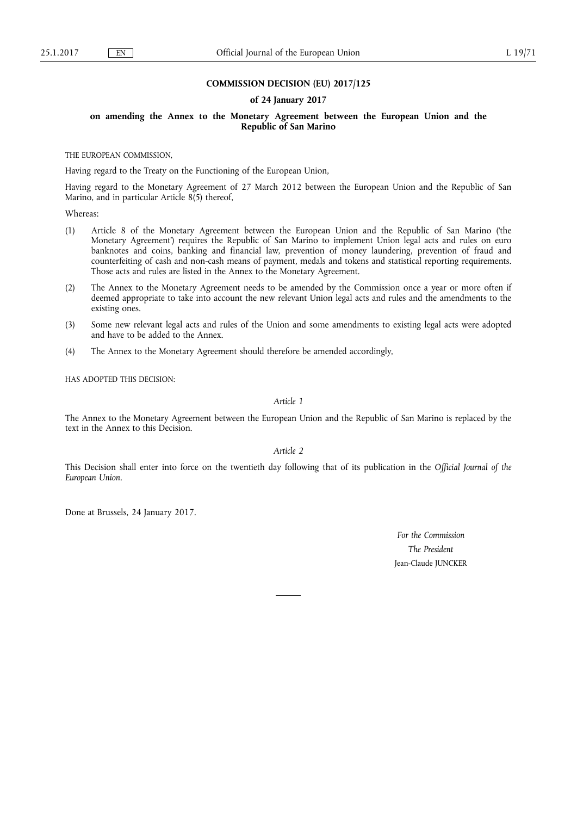#### **COMMISSION DECISION (EU) 2017/125**

### **of 24 January 2017**

**on amending the Annex to the Monetary Agreement between the European Union and the Republic of San Marino** 

THE EUROPEAN COMMISSION,

Having regard to the Treaty on the Functioning of the European Union,

Having regard to the Monetary Agreement of 27 March 2012 between the European Union and the Republic of San Marino, and in particular Article 8(5) thereof,

Whereas:

- (1) Article 8 of the Monetary Agreement between the European Union and the Republic of San Marino ('the Monetary Agreement') requires the Republic of San Marino to implement Union legal acts and rules on euro banknotes and coins, banking and financial law, prevention of money laundering, prevention of fraud and counterfeiting of cash and non-cash means of payment, medals and tokens and statistical reporting requirements. Those acts and rules are listed in the Annex to the Monetary Agreement.
- (2) The Annex to the Monetary Agreement needs to be amended by the Commission once a year or more often if deemed appropriate to take into account the new relevant Union legal acts and rules and the amendments to the existing ones.
- (3) Some new relevant legal acts and rules of the Union and some amendments to existing legal acts were adopted and have to be added to the Annex.
- (4) The Annex to the Monetary Agreement should therefore be amended accordingly,

HAS ADOPTED THIS DECISION:

## *Article 1*

The Annex to the Monetary Agreement between the European Union and the Republic of San Marino is replaced by the text in the Annex to this Decision.

*Article 2* 

This Decision shall enter into force on the twentieth day following that of its publication in the *Official Journal of the European Union*.

Done at Brussels, 24 January 2017.

*For the Commission The President*  Jean-Claude JUNCKER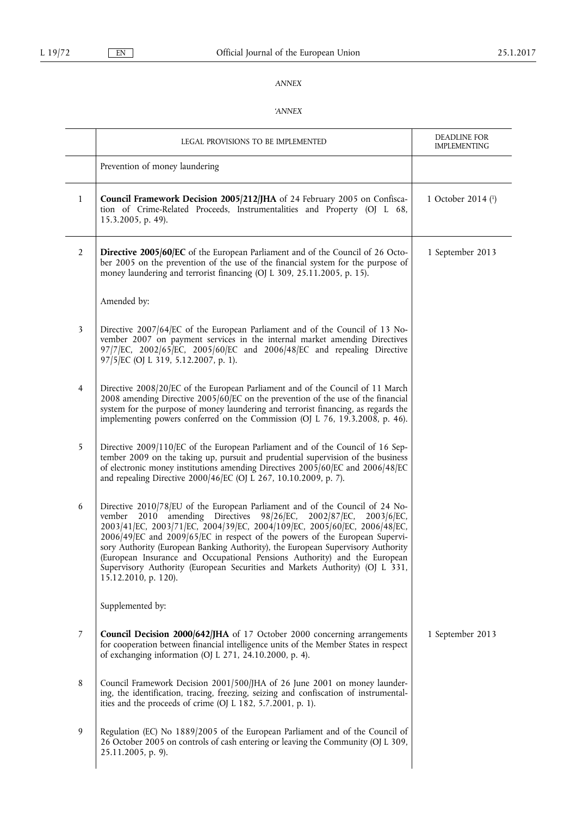# *ANNEX*

## *'ANNEX*

|                | LEGAL PROVISIONS TO BE IMPLEMENTED                                                                                                                                                                                                                                                                                                                                                                                                                                                                                                                                                           | DEADLINE FOR<br><b>IMPLEMENTING</b> |
|----------------|----------------------------------------------------------------------------------------------------------------------------------------------------------------------------------------------------------------------------------------------------------------------------------------------------------------------------------------------------------------------------------------------------------------------------------------------------------------------------------------------------------------------------------------------------------------------------------------------|-------------------------------------|
|                | Prevention of money laundering                                                                                                                                                                                                                                                                                                                                                                                                                                                                                                                                                               |                                     |
| $\mathbf{1}$   | Council Framework Decision 2005/212/JHA of 24 February 2005 on Confisca-<br>tion of Crime-Related Proceeds, Instrumentalities and Property (OJ L 68,<br>15.3.2005, p. 49).                                                                                                                                                                                                                                                                                                                                                                                                                   | 1 October 2014 (1)                  |
| $\overline{2}$ | Directive 2005/60/EC of the European Parliament and of the Council of 26 Octo-<br>ber 2005 on the prevention of the use of the financial system for the purpose of<br>money laundering and terrorist financing (OJ L 309, 25.11.2005, p. 15).                                                                                                                                                                                                                                                                                                                                                | 1 September 2013                    |
|                | Amended by:                                                                                                                                                                                                                                                                                                                                                                                                                                                                                                                                                                                  |                                     |
| 3              | Directive 2007/64/EC of the European Parliament and of the Council of 13 No-<br>vember 2007 on payment services in the internal market amending Directives<br>97/7/EC, 2002/65/EC, 2005/60/EC and 2006/48/EC and repealing Directive<br>97/5/EC (OJ L 319, 5.12.2007, p. 1).                                                                                                                                                                                                                                                                                                                 |                                     |
| 4              | Directive 2008/20/EC of the European Parliament and of the Council of 11 March<br>2008 amending Directive $2005/60$ /EC on the prevention of the use of the financial<br>system for the purpose of money laundering and terrorist financing, as regards the<br>implementing powers conferred on the Commission (OJ L 76, 19.3.2008, p. 46).                                                                                                                                                                                                                                                  |                                     |
| 5              | Directive 2009/110/EC of the European Parliament and of the Council of 16 Sep-<br>tember 2009 on the taking up, pursuit and prudential supervision of the business<br>of electronic money institutions amending Directives 2005/60/EC and 2006/48/EC<br>and repealing Directive 2000/46/EC (OJ L 267, 10.10.2009, p. 7).                                                                                                                                                                                                                                                                     |                                     |
| 6              | Directive 2010/78/EU of the European Parliament and of the Council of 24 No-<br>vember 2010 amending Directives<br>98/26/EC, 2002/87/EC,<br>$2003/6$ /EC,<br>2003/41/EC, 2003/71/EC, 2004/39/EC, 2004/109/EC, 2005/60/EC, 2006/48/EC,<br>2006/49/EC and 2009/65/EC in respect of the powers of the European Supervi-<br>sory Authority (European Banking Authority), the European Supervisory Authority<br>(European Insurance and Occupational Pensions Authority) and the European<br>Supervisory Authority (European Securities and Markets Authority) (OJ L 331,<br>15.12.2010, p. 120). |                                     |
|                | Supplemented by:                                                                                                                                                                                                                                                                                                                                                                                                                                                                                                                                                                             |                                     |
| 7              | Council Decision 2000/642/JHA of 17 October 2000 concerning arrangements<br>for cooperation between financial intelligence units of the Member States in respect<br>of exchanging information (OJ L 271, 24.10.2000, p. 4).                                                                                                                                                                                                                                                                                                                                                                  | 1 September 2013                    |
| 8              | Council Framework Decision 2001/500/JHA of 26 June 2001 on money launder-<br>ing, the identification, tracing, freezing, seizing and confiscation of instrumental-<br>ities and the proceeds of crime (OJ L 182, 5.7.2001, p. 1).                                                                                                                                                                                                                                                                                                                                                            |                                     |
| 9              | Regulation (EC) No 1889/2005 of the European Parliament and of the Council of<br>26 October 2005 on controls of cash entering or leaving the Community (OJ L 309,<br>25.11.2005, p. 9).                                                                                                                                                                                                                                                                                                                                                                                                      |                                     |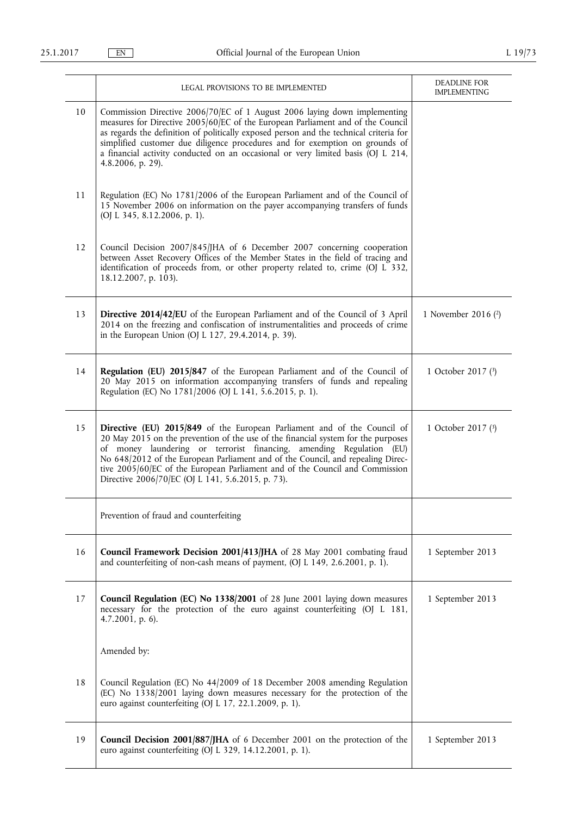|    | LEGAL PROVISIONS TO BE IMPLEMENTED                                                                                                                                                                                                                                                                                                                                                                                                                            | DEADLINE FOR<br><b>IMPLEMENTING</b> |
|----|---------------------------------------------------------------------------------------------------------------------------------------------------------------------------------------------------------------------------------------------------------------------------------------------------------------------------------------------------------------------------------------------------------------------------------------------------------------|-------------------------------------|
| 10 | Commission Directive 2006/70/EC of 1 August 2006 laying down implementing<br>measures for Directive 2005/60/EC of the European Parliament and of the Council<br>as regards the definition of politically exposed person and the technical criteria for<br>simplified customer due diligence procedures and for exemption on grounds of<br>a financial activity conducted on an occasional or very limited basis (OJ L 214,<br>4.8.2006, p. 29).               |                                     |
| 11 | Regulation (EC) No 1781/2006 of the European Parliament and of the Council of<br>15 November 2006 on information on the payer accompanying transfers of funds<br>(OJ L 345, 8.12.2006, p. 1).                                                                                                                                                                                                                                                                 |                                     |
| 12 | Council Decision 2007/845/JHA of 6 December 2007 concerning cooperation<br>between Asset Recovery Offices of the Member States in the field of tracing and<br>identification of proceeds from, or other property related to, crime (OJ L 332,<br>18.12.2007, p. 103).                                                                                                                                                                                         |                                     |
| 13 | <b>Directive 2014/42/EU</b> of the European Parliament and of the Council of 3 April<br>2014 on the freezing and confiscation of instrumentalities and proceeds of crime<br>in the European Union (OJ L 127, 29.4.2014, p. 39).                                                                                                                                                                                                                               | 1 November 2016 (2)                 |
| 14 | Regulation (EU) 2015/847 of the European Parliament and of the Council of<br>20 May 2015 on information accompanying transfers of funds and repealing<br>Regulation (EC) No 1781/2006 (OJ L 141, 5.6.2015, p. 1).                                                                                                                                                                                                                                             | 1 October 2017 (3)                  |
| 15 | Directive (EU) 2015/849 of the European Parliament and of the Council of<br>20 May 2015 on the prevention of the use of the financial system for the purposes<br>of money laundering or terrorist financing, amending Regulation (EU)<br>No 648/2012 of the European Parliament and of the Council, and repealing Direc-<br>tive 2005/60/EC of the European Parliament and of the Council and Commission<br>Directive 2006/70/EC (OJ L 141, 5.6.2015, p. 73). | 1 October 2017 (3)                  |
|    | Prevention of fraud and counterfeiting                                                                                                                                                                                                                                                                                                                                                                                                                        |                                     |
| 16 | Council Framework Decision 2001/413/JHA of 28 May 2001 combating fraud<br>and counterfeiting of non-cash means of payment, (OJ L 149, 2.6.2001, p. 1).                                                                                                                                                                                                                                                                                                        | 1 September 2013                    |
| 17 | Council Regulation (EC) No 1338/2001 of 28 June 2001 laying down measures<br>necessary for the protection of the euro against counterfeiting (OJ L 181,<br>$4.7.2001$ , p. 6).                                                                                                                                                                                                                                                                                | 1 September 2013                    |
|    | Amended by:                                                                                                                                                                                                                                                                                                                                                                                                                                                   |                                     |
| 18 | Council Regulation (EC) No 44/2009 of 18 December 2008 amending Regulation<br>(EC) No 1338/2001 laying down measures necessary for the protection of the<br>euro against counterfeiting (OJ L 17, 22.1.2009, p. 1).                                                                                                                                                                                                                                           |                                     |
| 19 | Council Decision 2001/887/JHA of 6 December 2001 on the protection of the<br>euro against counterfeiting (OJ L 329, 14.12.2001, p. 1).                                                                                                                                                                                                                                                                                                                        | 1 September 2013                    |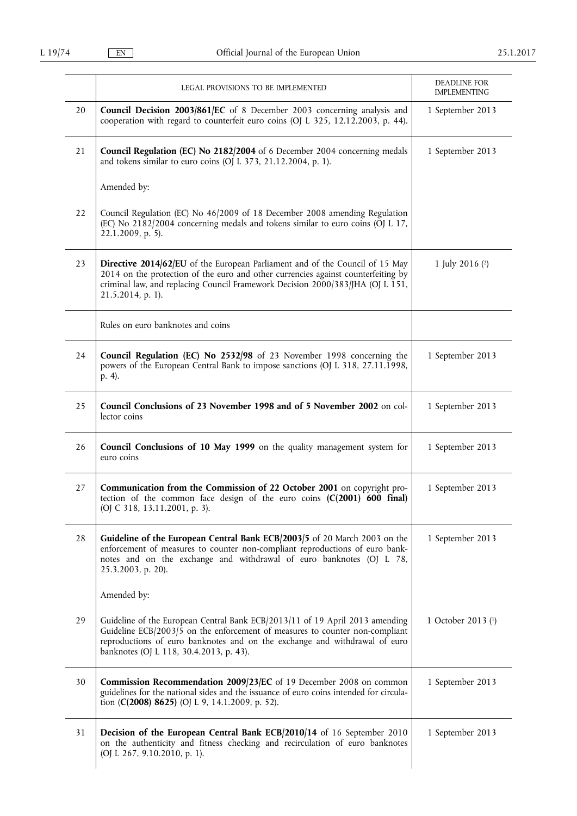|    | LEGAL PROVISIONS TO BE IMPLEMENTED                                                                                                                                                                                                                                                    | DEADLINE FOR<br><b>IMPLEMENTING</b> |
|----|---------------------------------------------------------------------------------------------------------------------------------------------------------------------------------------------------------------------------------------------------------------------------------------|-------------------------------------|
| 20 | Council Decision 2003/861/EC of 8 December 2003 concerning analysis and<br>cooperation with regard to counterfeit euro coins (OJ L 325, 12.12.2003, p. 44).                                                                                                                           | 1 September 2013                    |
| 21 | Council Regulation (EC) No 2182/2004 of 6 December 2004 concerning medals<br>and tokens similar to euro coins (OJ L 373, 21.12.2004, p. 1).                                                                                                                                           | 1 September 2013                    |
|    | Amended by:                                                                                                                                                                                                                                                                           |                                     |
| 22 | Council Regulation (EC) No 46/2009 of 18 December 2008 amending Regulation<br>(EC) No 2182/2004 concerning medals and tokens similar to euro coins (OJ L 17,<br>22.1.2009, p. 5).                                                                                                     |                                     |
| 23 | Directive 2014/62/EU of the European Parliament and of the Council of 15 May<br>2014 on the protection of the euro and other currencies against counterfeiting by<br>criminal law, and replacing Council Framework Decision 2000/383/JHA (OJ L 151,<br>21.5.2014, p. 1).              | 1 July 2016 $(2)$                   |
|    | Rules on euro banknotes and coins                                                                                                                                                                                                                                                     |                                     |
| 24 | Council Regulation (EC) No 2532/98 of 23 November 1998 concerning the<br>powers of the European Central Bank to impose sanctions (OJ L 318, 27.11.1998,<br>p. 4).                                                                                                                     | 1 September 2013                    |
| 25 | Council Conclusions of 23 November 1998 and of 5 November 2002 on col-<br>lector coins                                                                                                                                                                                                | 1 September 2013                    |
| 26 | Council Conclusions of 10 May 1999 on the quality management system for<br>euro coins                                                                                                                                                                                                 | 1 September 2013                    |
| 27 | Communication from the Commission of 22 October 2001 on copyright pro-<br>tection of the common face design of the euro coins $(C(2001)$ 600 final)<br>(OJ C 318, 13.11.2001, p. 3).                                                                                                  | 1 September 2013                    |
| 28 | Guideline of the European Central Bank ECB/2003/5 of 20 March 2003 on the<br>enforcement of measures to counter non-compliant reproductions of euro bank-<br>notes and on the exchange and withdrawal of euro banknotes (OJ L 78,<br>25.3.2003, p. 20).                               | 1 September 2013                    |
|    | Amended by:                                                                                                                                                                                                                                                                           |                                     |
| 29 | Guideline of the European Central Bank ECB/2013/11 of 19 April 2013 amending<br>Guideline ECB/2003/5 on the enforcement of measures to counter non-compliant<br>reproductions of euro banknotes and on the exchange and withdrawal of euro<br>banknotes (OJ L 118, 30.4.2013, p. 43). | 1 October 2013 (1)                  |
| 30 | Commission Recommendation 2009/23/EC of 19 December 2008 on common<br>guidelines for the national sides and the issuance of euro coins intended for circula-<br>tion (C(2008) 8625) (OJ L 9, 14.1.2009, p. 52).                                                                       | 1 September 2013                    |
| 31 | Decision of the European Central Bank ECB/2010/14 of 16 September 2010<br>on the authenticity and fitness checking and recirculation of euro banknotes<br>(OJ L 267, 9.10.2010, p. 1).                                                                                                | 1 September 2013                    |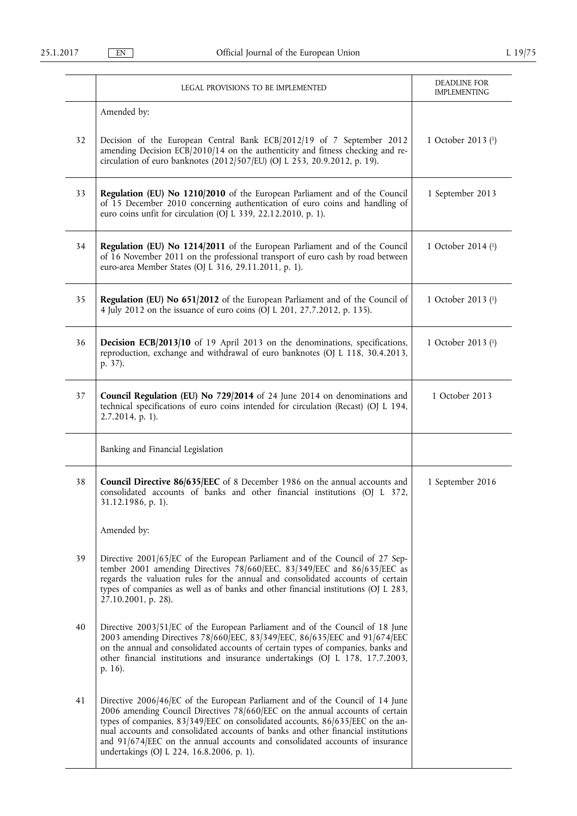|    | LEGAL PROVISIONS TO BE IMPLEMENTED                                                                                                                                                                                                                                                                                                                                                                                                                                   | DEADLINE FOR<br><b>IMPLEMENTING</b> |
|----|----------------------------------------------------------------------------------------------------------------------------------------------------------------------------------------------------------------------------------------------------------------------------------------------------------------------------------------------------------------------------------------------------------------------------------------------------------------------|-------------------------------------|
|    | Amended by:                                                                                                                                                                                                                                                                                                                                                                                                                                                          |                                     |
| 32 | Decision of the European Central Bank ECB/2012/19 of 7 September 2012<br>amending Decision ECB/2010/14 on the authenticity and fitness checking and re-<br>circulation of euro banknotes (2012/507/EU) (OJ L 253, 20.9.2012, p. 19).                                                                                                                                                                                                                                 | 1 October 2013 (1)                  |
| 33 | Regulation (EU) No 1210/2010 of the European Parliament and of the Council<br>of 15 December 2010 concerning authentication of euro coins and handling of<br>euro coins unfit for circulation (OJ L 339, 22.12.2010, p. 1).                                                                                                                                                                                                                                          | 1 September 2013                    |
| 34 | Regulation (EU) No 1214/2011 of the European Parliament and of the Council<br>of 16 November 2011 on the professional transport of euro cash by road between<br>euro-area Member States (OJ L 316, 29.11.2011, p. 1).                                                                                                                                                                                                                                                | 1 October 2014 (1)                  |
| 35 | Regulation (EU) No 651/2012 of the European Parliament and of the Council of<br>4 July 2012 on the issuance of euro coins (OJ L 201, 27.7.2012, p. 135).                                                                                                                                                                                                                                                                                                             | 1 October 2013 (1)                  |
| 36 | Decision ECB/2013/10 of 19 April 2013 on the denominations, specifications,<br>reproduction, exchange and withdrawal of euro banknotes (OJ L 118, 30.4.2013,<br>p. 37).                                                                                                                                                                                                                                                                                              | 1 October 2013 (1)                  |
| 37 | Council Regulation (EU) No 729/2014 of 24 June 2014 on denominations and<br>technical specifications of euro coins intended for circulation (Recast) (OJ L 194,<br>2.7.2014, p. 1).                                                                                                                                                                                                                                                                                  | 1 October 2013                      |
|    | Banking and Financial Legislation                                                                                                                                                                                                                                                                                                                                                                                                                                    |                                     |
| 38 | <b>Council Directive 86/635/EEC</b> of 8 December 1986 on the annual accounts and<br>consolidated accounts of banks and other financial institutions (OJ L 372,<br>31.12.1986, p. 1).                                                                                                                                                                                                                                                                                | 1 September 2016                    |
|    | Amended by:                                                                                                                                                                                                                                                                                                                                                                                                                                                          |                                     |
| 39 | Directive 2001/65/EC of the European Parliament and of the Council of 27 Sep-<br>tember 2001 amending Directives 78/660/EEC, 83/349/EEC and 86/635/EEC as<br>regards the valuation rules for the annual and consolidated accounts of certain<br>types of companies as well as of banks and other financial institutions (OJ L 283,<br>27.10.2001, p. 28).                                                                                                            |                                     |
| 40 | Directive 2003/51/EC of the European Parliament and of the Council of 18 June<br>2003 amending Directives 78/660/EEC, 83/349/EEC, 86/635/EEC and 91/674/EEC<br>on the annual and consolidated accounts of certain types of companies, banks and<br>other financial institutions and insurance undertakings (OJ L 178, 17.7.2003,<br>p. 16).                                                                                                                          |                                     |
| 41 | Directive 2006/46/EC of the European Parliament and of the Council of 14 June<br>2006 amending Council Directives 78/660/EEC on the annual accounts of certain<br>types of companies, 83/349/EEC on consolidated accounts, 86/635/EEC on the an-<br>nual accounts and consolidated accounts of banks and other financial institutions<br>and $91/674/EEC$ on the annual accounts and consolidated accounts of insurance<br>undertakings (OJ L 224, 16.8.2006, p. 1). |                                     |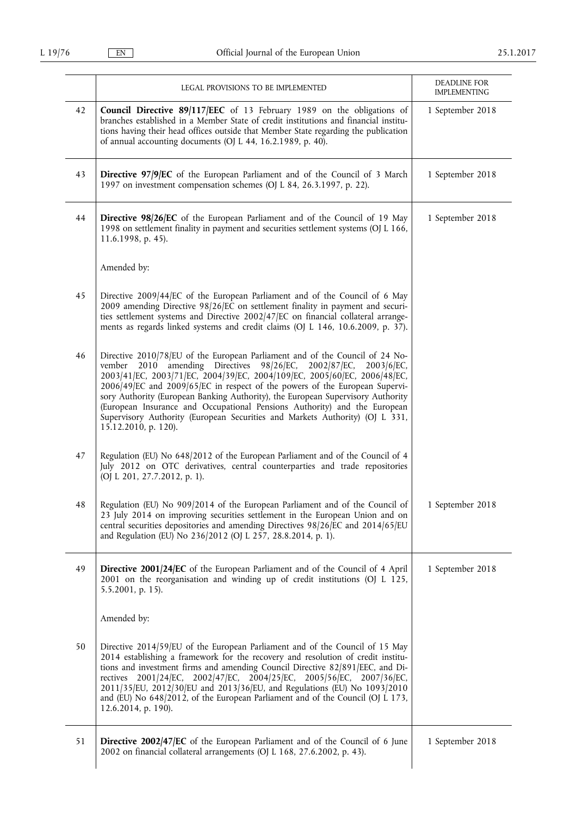|    | LEGAL PROVISIONS TO BE IMPLEMENTED                                                                                                                                                                                                                                                                                                                                                                                                                                                                                                                                                  | DEADLINE FOR<br><b>IMPLEMENTING</b> |
|----|-------------------------------------------------------------------------------------------------------------------------------------------------------------------------------------------------------------------------------------------------------------------------------------------------------------------------------------------------------------------------------------------------------------------------------------------------------------------------------------------------------------------------------------------------------------------------------------|-------------------------------------|
| 42 | Council Directive 89/117/EEC of 13 February 1989 on the obligations of<br>branches established in a Member State of credit institutions and financial institu-<br>tions having their head offices outside that Member State regarding the publication<br>of annual accounting documents (OJ L 44, 16.2.1989, p. 40).                                                                                                                                                                                                                                                                | 1 September 2018                    |
| 43 | Directive 97/9/EC of the European Parliament and of the Council of 3 March<br>1997 on investment compensation schemes (OJ L 84, 26.3.1997, p. 22).                                                                                                                                                                                                                                                                                                                                                                                                                                  | 1 September 2018                    |
| 44 | Directive 98/26/EC of the European Parliament and of the Council of 19 May<br>1998 on settlement finality in payment and securities settlement systems (OJ L 166,<br>11.6.1998, p. 45).                                                                                                                                                                                                                                                                                                                                                                                             | 1 September 2018                    |
|    | Amended by:                                                                                                                                                                                                                                                                                                                                                                                                                                                                                                                                                                         |                                     |
| 45 | Directive 2009/44/EC of the European Parliament and of the Council of 6 May<br>2009 amending Directive 98/26/EC on settlement finality in payment and securi-<br>ties settlement systems and Directive 2002/47/EC on financial collateral arrange-<br>ments as regards linked systems and credit claims (OJ L 146, 10.6.2009, p. 37).                                                                                                                                                                                                                                               |                                     |
| 46 | Directive 2010/78/EU of the European Parliament and of the Council of 24 No-<br>vember 2010 amending Directives 98/26/EC, 2002/87/EC, 2003/6/EC,<br>2003/41/EC, 2003/71/EC, 2004/39/EC, 2004/109/EC, 2005/60/EC, 2006/48/EC,<br>2006/49/EC and 2009/65/EC in respect of the powers of the European Supervi-<br>sory Authority (European Banking Authority), the European Supervisory Authority<br>(European Insurance and Occupational Pensions Authority) and the European<br>Supervisory Authority (European Securities and Markets Authority) (OJ L 331,<br>15.12.2010, p. 120). |                                     |
| 47 | Regulation (EU) No 648/2012 of the European Parliament and of the Council of 4<br>July 2012 on OTC derivatives, central counterparties and trade repositories<br>(OJ L 201, 27.7.2012, p. 1).                                                                                                                                                                                                                                                                                                                                                                                       |                                     |
| 48 | Regulation (EU) No 909/2014 of the European Parliament and of the Council of<br>23 July 2014 on improving securities settlement in the European Union and on<br>central securities depositories and amending Directives 98/26/EC and 2014/65/EU<br>and Regulation (EU) No 236/2012 (OJ L 257, 28.8.2014, p. 1).                                                                                                                                                                                                                                                                     | 1 September 2018                    |
| 49 | <b>Directive 2001/24/EC</b> of the European Parliament and of the Council of 4 April<br>2001 on the reorganisation and winding up of credit institutions (OJ L 125,<br>$5.5.2001$ , p. 15).                                                                                                                                                                                                                                                                                                                                                                                         | 1 September 2018                    |
|    | Amended by:                                                                                                                                                                                                                                                                                                                                                                                                                                                                                                                                                                         |                                     |
| 50 | Directive 2014/59/EU of the European Parliament and of the Council of 15 May<br>2014 establishing a framework for the recovery and resolution of credit institu-<br>tions and investment firms and amending Council Directive 82/891/EEC, and Di-<br>rectives 2001/24/EC, 2002/47/EC, 2004/25/EC, 2005/56/EC, 2007/36/EC,<br>2011/35/EU, 2012/30/EU and 2013/36/EU, and Regulations (EU) No 1093/2010<br>and (EU) No 648/2012, of the European Parliament and of the Council (OJ L 173,<br>12.6.2014, p. 190).                                                                      |                                     |
| 51 | Directive 2002/47/EC of the European Parliament and of the Council of 6 June<br>2002 on financial collateral arrangements (OJ L 168, 27.6.2002, p. 43).                                                                                                                                                                                                                                                                                                                                                                                                                             | 1 September 2018                    |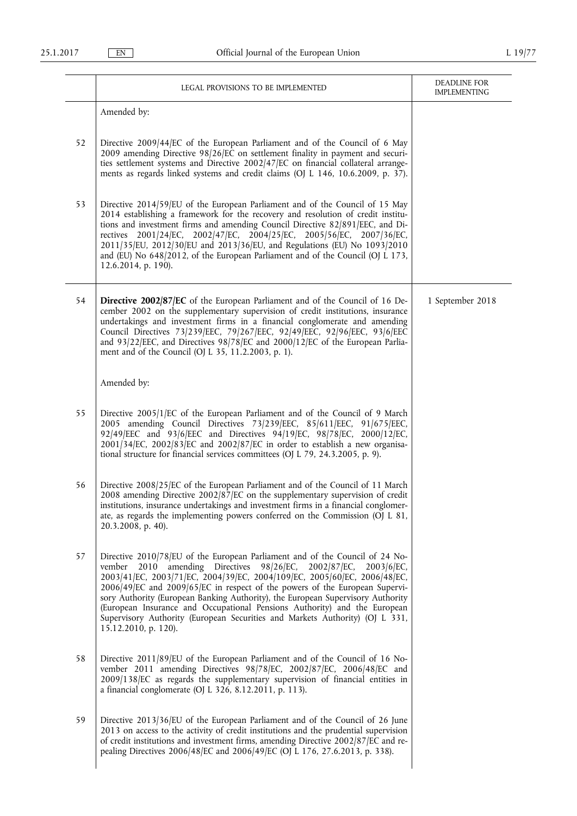|    | LEGAL PROVISIONS TO BE IMPLEMENTED                                                                                                                                                                                                                                                                                                                                                                                                                                                                                                                                                           | DEADLINE FOR<br><b>IMPLEMENTING</b> |
|----|----------------------------------------------------------------------------------------------------------------------------------------------------------------------------------------------------------------------------------------------------------------------------------------------------------------------------------------------------------------------------------------------------------------------------------------------------------------------------------------------------------------------------------------------------------------------------------------------|-------------------------------------|
|    | Amended by:                                                                                                                                                                                                                                                                                                                                                                                                                                                                                                                                                                                  |                                     |
| 52 | Directive 2009/44/EC of the European Parliament and of the Council of 6 May<br>2009 amending Directive 98/26/EC on settlement finality in payment and securi-<br>ties settlement systems and Directive 2002/47/EC on financial collateral arrange-<br>ments as regards linked systems and credit claims (OJ L 146, 10.6.2009, p. 37).                                                                                                                                                                                                                                                        |                                     |
| 53 | Directive 2014/59/EU of the European Parliament and of the Council of 15 May<br>2014 establishing a framework for the recovery and resolution of credit institu-<br>tions and investment firms and amending Council Directive 82/891/EEC, and Di-<br>rectives 2001/24/EC, 2002/47/EC, 2004/25/EC, 2005/56/EC, 2007/36/EC,<br>2011/35/EU, 2012/30/EU and 2013/36/EU, and Regulations (EU) No 1093/2010<br>and (EU) No 648/2012, of the European Parliament and of the Council (OJ L 173,<br>12.6.2014, p. 190).                                                                               |                                     |
| 54 | <b>Directive 2002/87/EC</b> of the European Parliament and of the Council of 16 De-<br>cember 2002 on the supplementary supervision of credit institutions, insurance<br>undertakings and investment firms in a financial conglomerate and amending<br>Council Directives 73/239/EEC, 79/267/EEC, 92/49/EEC, 92/96/EEC, 93/6/EEC<br>and 93/22/EEC, and Directives 98/78/EC and 2000/12/EC of the European Parlia-<br>ment and of the Council (OJ L 35, 11.2.2003, p. 1).                                                                                                                     | 1 September 2018                    |
|    | Amended by:                                                                                                                                                                                                                                                                                                                                                                                                                                                                                                                                                                                  |                                     |
| 55 | Directive 2005/1/EC of the European Parliament and of the Council of 9 March<br>2005 amending Council Directives 73/239/EEC, 85/611/EEC, 91/675/EEC,<br>92/49/EEC and 93/6/EEC and Directives 94/19/EC, 98/78/EC, 2000/12/EC,<br>$2001/34$ [EC, $2002/83$ [EC and $2002/87$ [EC in order to establish a new organisa-<br>tional structure for financial services committees (OJ L 79, 24.3.2005, p. 9).                                                                                                                                                                                      |                                     |
| 56 | Directive 2008/25/EC of the European Parliament and of the Council of 11 March<br>2008 amending Directive 2002/87/EC on the supplementary supervision of credit<br>institutions, insurance undertakings and investment firms in a financial conglomer-<br>ate, as regards the implementing powers conferred on the Commission (OJ L 81,<br>20.3.2008, p. 40).                                                                                                                                                                                                                                |                                     |
| 57 | Directive 2010/78/EU of the European Parliament and of the Council of 24 No-<br>2010 amending Directives 98/26/EC, 2002/87/EC,<br>$2003/6$ /EC,<br>vember<br>2003/41/EC, 2003/71/EC, 2004/39/EC, 2004/109/EC, 2005/60/EC, 2006/48/EC,<br>2006/49/EC and 2009/65/EC in respect of the powers of the European Supervi-<br>sory Authority (European Banking Authority), the European Supervisory Authority<br>(European Insurance and Occupational Pensions Authority) and the European<br>Supervisory Authority (European Securities and Markets Authority) (OJ L 331,<br>15.12.2010, p. 120). |                                     |
| 58 | Directive 2011/89/EU of the European Parliament and of the Council of 16 No-<br>vember 2011 amending Directives 98/78/EC, 2002/87/EC, 2006/48/EC and<br>2009/138/EC as regards the supplementary supervision of financial entities in<br>a financial conglomerate (OJ L 326, 8.12.2011, p. 113).                                                                                                                                                                                                                                                                                             |                                     |
| 59 | Directive 2013/36/EU of the European Parliament and of the Council of 26 June<br>2013 on access to the activity of credit institutions and the prudential supervision<br>of credit institutions and investment firms, amending Directive 2002/87/EC and re-<br>pealing Directives 2006/48/EC and 2006/49/EC (OJ L 176, 27.6.2013, p. 338).                                                                                                                                                                                                                                                   |                                     |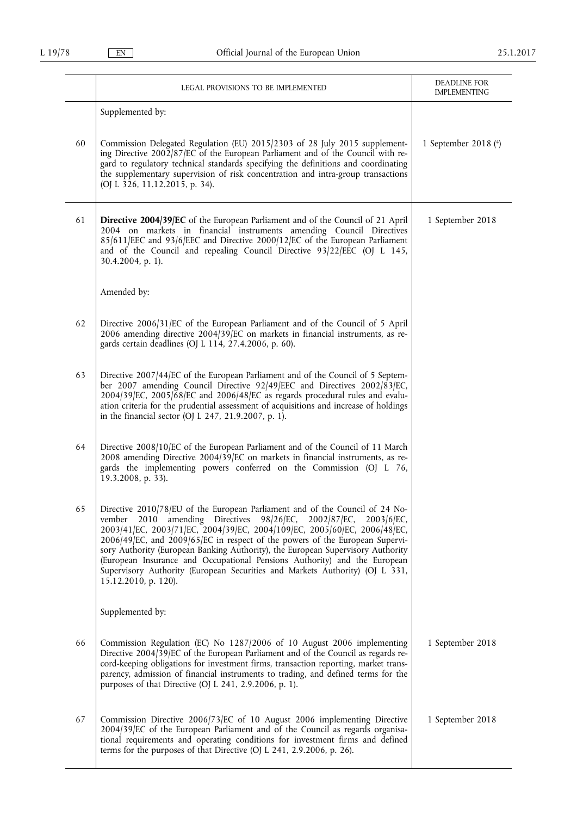|    | LEGAL PROVISIONS TO BE IMPLEMENTED                                                                                                                                                                                                                                                                                                                                                                                                                                                                                                                                                            | DEADLINE FOR<br><b>IMPLEMENTING</b> |
|----|-----------------------------------------------------------------------------------------------------------------------------------------------------------------------------------------------------------------------------------------------------------------------------------------------------------------------------------------------------------------------------------------------------------------------------------------------------------------------------------------------------------------------------------------------------------------------------------------------|-------------------------------------|
|    | Supplemented by:                                                                                                                                                                                                                                                                                                                                                                                                                                                                                                                                                                              |                                     |
| 60 | Commission Delegated Regulation (EU) 2015/2303 of 28 July 2015 supplement-<br>ing Directive 2002/87/EC of the European Parliament and of the Council with re-<br>gard to regulatory technical standards specifying the definitions and coordinating<br>the supplementary supervision of risk concentration and intra-group transactions<br>(OJ L 326, 11.12.2015, p. 34).                                                                                                                                                                                                                     | 1 September 2018 (4)                |
| 61 | Directive 2004/39/EC of the European Parliament and of the Council of 21 April<br>2004 on markets in financial instruments amending Council Directives<br>85/611/EEC and 93/6/EEC and Directive 2000/12/EC of the European Parliament<br>and of the Council and repealing Council Directive 93/22/EEC (OJ L 145,<br>30.4.2004, p. 1).                                                                                                                                                                                                                                                         | 1 September 2018                    |
|    | Amended by:                                                                                                                                                                                                                                                                                                                                                                                                                                                                                                                                                                                   |                                     |
| 62 | Directive 2006/31/EC of the European Parliament and of the Council of 5 April<br>2006 amending directive 2004/39/EC on markets in financial instruments, as re-<br>gards certain deadlines (OJ L 114, 27.4.2006, p. 60).                                                                                                                                                                                                                                                                                                                                                                      |                                     |
| 63 | Directive 2007/44/EC of the European Parliament and of the Council of 5 Septem-<br>ber 2007 amending Council Directive 92/49/EEC and Directives 2002/83/EC,<br>2004/39/EC, 2005/68/EC and 2006/48/EC as regards procedural rules and evalu-<br>ation criteria for the prudential assessment of acquisitions and increase of holdings<br>in the financial sector (OJ L 247, 21.9.2007, p. 1).                                                                                                                                                                                                  |                                     |
| 64 | Directive 2008/10/EC of the European Parliament and of the Council of 11 March<br>2008 amending Directive 2004/39/EC on markets in financial instruments, as re-<br>gards the implementing powers conferred on the Commission (OJ L 76,<br>19.3.2008, p. 33).                                                                                                                                                                                                                                                                                                                                 |                                     |
| 65 | Directive 2010/78/EU of the European Parliament and of the Council of 24 No-<br>2010 amending Directives 98/26/EC, 2002/87/EC,<br>$2003/6$ /EC,<br>vember<br>2003/41/EC, 2003/71/EC, 2004/39/EC, 2004/109/EC, 2005/60/EC, 2006/48/EC,<br>2006/49/EC, and 2009/65/EC in respect of the powers of the European Supervi-<br>sory Authority (European Banking Authority), the European Supervisory Authority<br>(European Insurance and Occupational Pensions Authority) and the European<br>Supervisory Authority (European Securities and Markets Authority) (OJ L 331,<br>15.12.2010, p. 120). |                                     |
|    | Supplemented by:                                                                                                                                                                                                                                                                                                                                                                                                                                                                                                                                                                              |                                     |
| 66 | Commission Regulation (EC) No 1287/2006 of 10 August 2006 implementing<br>Directive 2004/39/EC of the European Parliament and of the Council as regards re-<br>cord-keeping obligations for investment firms, transaction reporting, market trans-<br>parency, admission of financial instruments to trading, and defined terms for the<br>purposes of that Directive (OJ L 241, 2.9.2006, p. 1).                                                                                                                                                                                             | 1 September 2018                    |
| 67 | Commission Directive 2006/73/EC of 10 August 2006 implementing Directive<br>2004/39/EC of the European Parliament and of the Council as regards organisa-<br>tional requirements and operating conditions for investment firms and defined<br>terms for the purposes of that Directive (OJ L 241, 2.9.2006, p. 26).                                                                                                                                                                                                                                                                           | 1 September 2018                    |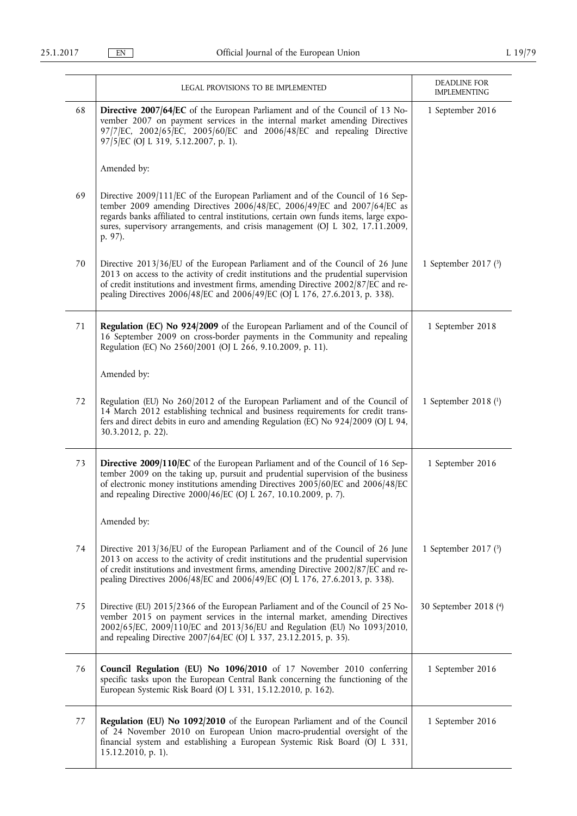|    | LEGAL PROVISIONS TO BE IMPLEMENTED                                                                                                                                                                                                                                                                                                               | DEADLINE FOR<br><b>IMPLEMENTING</b> |
|----|--------------------------------------------------------------------------------------------------------------------------------------------------------------------------------------------------------------------------------------------------------------------------------------------------------------------------------------------------|-------------------------------------|
| 68 | <b>Directive 2007/64/EC</b> of the European Parliament and of the Council of 13 No-<br>vember 2007 on payment services in the internal market amending Directives<br>97/7/EC, 2002/65/EC, 2005/60/EC and 2006/48/EC and repealing Directive<br>97/5/EC (OJ L 319, 5.12.2007, p. 1).                                                              | 1 September 2016                    |
|    | Amended by:                                                                                                                                                                                                                                                                                                                                      |                                     |
| 69 | Directive 2009/111/EC of the European Parliament and of the Council of 16 Sep-<br>tember 2009 amending Directives 2006/48/EC, 2006/49/EC and 2007/64/EC as<br>regards banks affiliated to central institutions, certain own funds items, large expo-<br>sures, supervisory arrangements, and crisis management (OJ L 302, 17.11.2009,<br>p. 97). |                                     |
| 70 | Directive 2013/36/EU of the European Parliament and of the Council of 26 June<br>2013 on access to the activity of credit institutions and the prudential supervision<br>of credit institutions and investment firms, amending Directive 2002/87/EC and re-<br>pealing Directives 2006/48/EC and 2006/49/EC (OJ L 176, 27.6.2013, p. 338).       | 1 September 2017 $(3)$              |
| 71 | Regulation (EC) No 924/2009 of the European Parliament and of the Council of<br>16 September 2009 on cross-border payments in the Community and repealing<br>Regulation (EC) No 2560/2001 (OJ L 266, 9.10.2009, p. 11).                                                                                                                          | 1 September 2018                    |
|    | Amended by:                                                                                                                                                                                                                                                                                                                                      |                                     |
| 72 | Regulation (EU) No 260/2012 of the European Parliament and of the Council of<br>14 March 2012 establishing technical and business requirements for credit trans-<br>fers and direct debits in euro and amending Regulation (EC) No 924/2009 (OJ L 94,<br>30.3.2012, p. 22).                                                                      | 1 September 2018 $(1)$              |
| 73 | Directive 2009/110/EC of the European Parliament and of the Council of 16 Sep-<br>tember 2009 on the taking up, pursuit and prudential supervision of the business<br>of electronic money institutions amending Directives 2005/60/EC and 2006/48/EC<br>and repealing Directive 2000/46/EC (OJ L 267, 10.10.2009, p. 7).                         | 1 September 2016                    |
|    | Amended by:                                                                                                                                                                                                                                                                                                                                      |                                     |
| 74 | Directive 2013/36/EU of the European Parliament and of the Council of 26 June<br>2013 on access to the activity of credit institutions and the prudential supervision<br>of credit institutions and investment firms, amending Directive 2002/87/EC and re-<br>pealing Directives 2006/48/EC and 2006/49/EC (OJ L 176, 27.6.2013, p. 338).       | 1 September 2017 $(3)$              |
| 75 | Directive (EU) 2015/2366 of the European Parliament and of the Council of 25 No-<br>vember 2015 on payment services in the internal market, amending Directives<br>2002/65/EC, 2009/110/EC and 2013/36/EU and Regulation (EU) No 1093/2010,<br>and repealing Directive 2007/64/EC (OJ L 337, 23.12.2015, p. 35).                                 | 30 September 2018 (4)               |
| 76 | Council Regulation (EU) No 1096/2010 of 17 November 2010 conferring<br>specific tasks upon the European Central Bank concerning the functioning of the<br>European Systemic Risk Board (OJ L 331, 15.12.2010, p. 162).                                                                                                                           | 1 September 2016                    |
| 77 | Regulation (EU) No 1092/2010 of the European Parliament and of the Council<br>of 24 November 2010 on European Union macro-prudential oversight of the<br>financial system and establishing a European Systemic Risk Board (OJ L 331,<br>15.12.2010, p. 1).                                                                                       | 1 September 2016                    |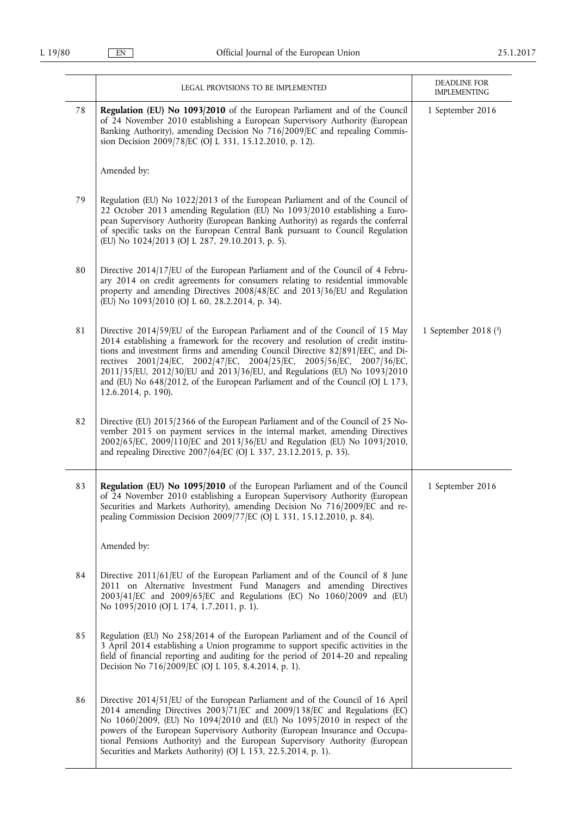|    | LEGAL PROVISIONS TO BE IMPLEMENTED                                                                                                                                                                                                                                                                                                                                                                                                                                                                             | DEADLINE FOR<br>IMPLEMENTING |
|----|----------------------------------------------------------------------------------------------------------------------------------------------------------------------------------------------------------------------------------------------------------------------------------------------------------------------------------------------------------------------------------------------------------------------------------------------------------------------------------------------------------------|------------------------------|
| 78 | Regulation (EU) No 1093/2010 of the European Parliament and of the Council<br>of 24 November 2010 establishing a European Supervisory Authority (European<br>Banking Authority), amending Decision No 716/2009/EC and repealing Commis-<br>sion Decision 2009/78/EC (OJ L 331, 15.12.2010, p. 12).                                                                                                                                                                                                             | 1 September 2016             |
|    | Amended by:                                                                                                                                                                                                                                                                                                                                                                                                                                                                                                    |                              |
| 79 | Regulation (EU) No 1022/2013 of the European Parliament and of the Council of<br>22 October 2013 amending Regulation (EU) No 1093/2010 establishing a Euro-<br>pean Supervisory Authority (European Banking Authority) as regards the conferral<br>of specific tasks on the European Central Bank pursuant to Council Regulation<br>(EU) No 1024/2013 (OJ L 287, 29.10.2013, p. 5).                                                                                                                            |                              |
| 80 | Directive 2014/17/EU of the European Parliament and of the Council of 4 Febru-<br>ary 2014 on credit agreements for consumers relating to residential immovable<br>property and amending Directives 2008/48/EC and 2013/36/EU and Regulation<br>(EU) No 1093/2010 (OJ L 60, 28.2.2014, p. 34).                                                                                                                                                                                                                 |                              |
| 81 | Directive 2014/59/EU of the European Parliament and of the Council of 15 May<br>2014 establishing a framework for the recovery and resolution of credit institu-<br>tions and investment firms and amending Council Directive 82/891/EEC, and Di-<br>rectives 2001/24/EC, 2002/47/EC, 2004/25/EC, 2005/56/EC, 2007/36/EC,<br>2011/35/EU, 2012/30/EU and 2013/36/EU, and Regulations (EU) No 1093/2010<br>and (EU) No 648/2012, of the European Parliament and of the Council (OJ L 173,<br>12.6.2014, p. 190). | 1 September 2018 (3)         |
| 82 | Directive (EU) 2015/2366 of the European Parliament and of the Council of 25 No-<br>vember 2015 on payment services in the internal market, amending Directives<br>2002/65/EC, 2009/110/EC and 2013/36/EU and Regulation (EU) No 1093/2010,<br>and repealing Directive 2007/64/EC (OJ L 337, 23.12.2015, p. 35).                                                                                                                                                                                               |                              |
| 83 | Regulation (EU) No 1095/2010 of the European Parliament and of the Council<br>of 24 November 2010 establishing a European Supervisory Authority (European<br>Securities and Markets Authority), amending Decision No 716/2009/EC and re-<br>pealing Commission Decision 2009/77/EC (OJ L 331, 15.12.2010, p. 84).                                                                                                                                                                                              | 1 September 2016             |
|    | Amended by:                                                                                                                                                                                                                                                                                                                                                                                                                                                                                                    |                              |
| 84 | Directive 2011/61/EU of the European Parliament and of the Council of 8 June<br>2011 on Alternative Investment Fund Managers and amending Directives<br>2003/41/EC and 2009/65/EC and Regulations (EC) No 1060/2009 and (EU)<br>No 1095/2010 (OJ L 174, 1.7.2011, p. 1).                                                                                                                                                                                                                                       |                              |
| 85 | Regulation (EU) No 258/2014 of the European Parliament and of the Council of<br>3 April 2014 establishing a Union programme to support specific activities in the<br>field of financial reporting and auditing for the period of 2014-20 and repealing<br>Decision No 716/2009/EC (OJ L 105, 8.4.2014, p. 1).                                                                                                                                                                                                  |                              |
| 86 | Directive 2014/51/EU of the European Parliament and of the Council of 16 April<br>2014 amending Directives 2003/71/EC and 2009/138/EC and Regulations (EC)<br>No 1060/2009, (EU) No 1094/2010 and (EU) No 1095/2010 in respect of the<br>powers of the European Supervisory Authority (European Insurance and Occupa-<br>tional Pensions Authority) and the European Supervisory Authority (European<br>Securities and Markets Authority) (OJ L 153, 22.5.2014, p. 1).                                         |                              |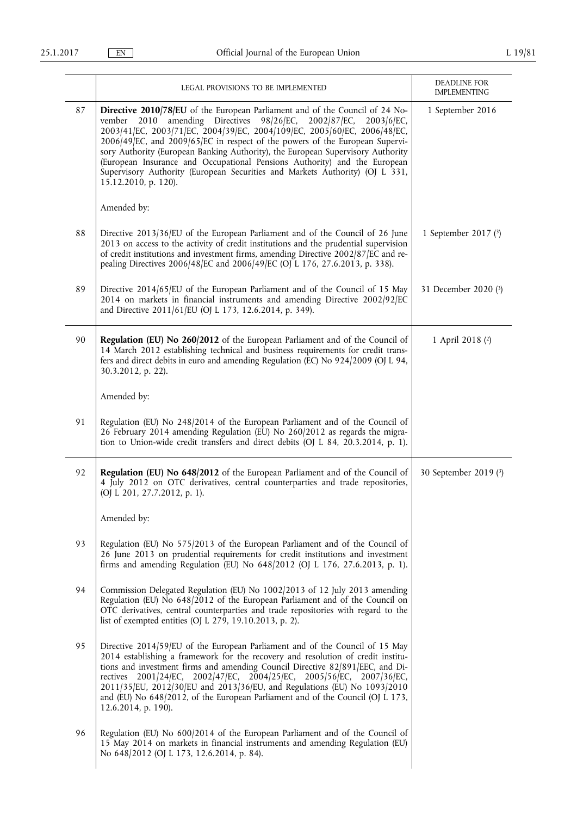|    | LEGAL PROVISIONS TO BE IMPLEMENTED                                                                                                                                                                                                                                                                                                                                                                                                                                                                                                                                                                  | DEADLINE FOR<br><b>IMPLEMENTING</b> |
|----|-----------------------------------------------------------------------------------------------------------------------------------------------------------------------------------------------------------------------------------------------------------------------------------------------------------------------------------------------------------------------------------------------------------------------------------------------------------------------------------------------------------------------------------------------------------------------------------------------------|-------------------------------------|
| 87 | Directive 2010/78/EU of the European Parliament and of the Council of 24 No-<br>amending Directives 98/26/EC,<br>vember<br>2002/87/EC,<br>$2003/6$ /EC,<br>2010<br>2003/41/EC, 2003/71/EC, 2004/39/EC, 2004/109/EC, 2005/60/EC, 2006/48/EC,<br>2006/49/EC, and 2009/65/EC in respect of the powers of the European Supervi-<br>sory Authority (European Banking Authority), the European Supervisory Authority<br>(European Insurance and Occupational Pensions Authority) and the European<br>Supervisory Authority (European Securities and Markets Authority) (OJ L 331,<br>15.12.2010, p. 120). | 1 September 2016                    |
|    | Amended by:                                                                                                                                                                                                                                                                                                                                                                                                                                                                                                                                                                                         |                                     |
| 88 | Directive 2013/36/EU of the European Parliament and of the Council of 26 June<br>2013 on access to the activity of credit institutions and the prudential supervision<br>of credit institutions and investment firms, amending Directive 2002/87/EC and re-<br>pealing Directives 2006/48/EC and 2006/49/EC (OJ L 176, 27.6.2013, p. 338).                                                                                                                                                                                                                                                          | 1 September 2017 (3)                |
| 89 | Directive 2014/65/EU of the European Parliament and of the Council of 15 May<br>2014 on markets in financial instruments and amending Directive 2002/92/EC<br>and Directive 2011/61/EU (OJ L 173, 12.6.2014, p. 349).                                                                                                                                                                                                                                                                                                                                                                               | 31 December 2020 (3)                |
| 90 | Regulation (EU) No 260/2012 of the European Parliament and of the Council of<br>14 March 2012 establishing technical and business requirements for credit trans-<br>fers and direct debits in euro and amending Regulation (EC) No 924/2009 (OJ L 94,<br>30.3.2012, p. 22).                                                                                                                                                                                                                                                                                                                         | 1 April 2018 (2)                    |
|    | Amended by:                                                                                                                                                                                                                                                                                                                                                                                                                                                                                                                                                                                         |                                     |
| 91 | Regulation (EU) No 248/2014 of the European Parliament and of the Council of<br>26 February 2014 amending Regulation (EU) No 260/2012 as regards the migra-<br>tion to Union-wide credit transfers and direct debits (OJ L 84, 20.3.2014, p. 1).                                                                                                                                                                                                                                                                                                                                                    |                                     |
| 92 | Regulation (EU) No 648/2012 of the European Parliament and of the Council of<br>4 July 2012 on OTC derivatives, central counterparties and trade repositories,<br>(OJ L 201, 27.7.2012, p. 1).                                                                                                                                                                                                                                                                                                                                                                                                      | 30 September 2019 (3)               |
|    | Amended by:                                                                                                                                                                                                                                                                                                                                                                                                                                                                                                                                                                                         |                                     |
| 93 | Regulation (EU) No 575/2013 of the European Parliament and of the Council of<br>26 June 2013 on prudential requirements for credit institutions and investment<br>firms and amending Regulation (EU) No 648/2012 (OJ L 176, 27.6.2013, p. 1).                                                                                                                                                                                                                                                                                                                                                       |                                     |
| 94 | Commission Delegated Regulation (EU) No 1002/2013 of 12 July 2013 amending<br>Regulation (EU) No 648/2012 of the European Parliament and of the Council on<br>OTC derivatives, central counterparties and trade repositories with regard to the<br>list of exempted entities (OJ L 279, 19.10.2013, p. 2).                                                                                                                                                                                                                                                                                          |                                     |
| 95 | Directive 2014/59/EU of the European Parliament and of the Council of 15 May<br>2014 establishing a framework for the recovery and resolution of credit institu-<br>tions and investment firms and amending Council Directive 82/891/EEC, and Di-<br>rectives 2001/24/EC, 2002/47/EC, 2004/25/EC, 2005/56/EC, 2007/36/EC,<br>2011/35/EU, 2012/30/EU and 2013/36/EU, and Regulations (EU) No 1093/2010<br>and (EU) No 648/2012, of the European Parliament and of the Council (OJ L 173,<br>12.6.2014, p. 190).                                                                                      |                                     |
| 96 | Regulation (EU) No 600/2014 of the European Parliament and of the Council of<br>15 May 2014 on markets in financial instruments and amending Regulation (EU)<br>No 648/2012 (OJ L 173, 12.6.2014, p. 84).                                                                                                                                                                                                                                                                                                                                                                                           |                                     |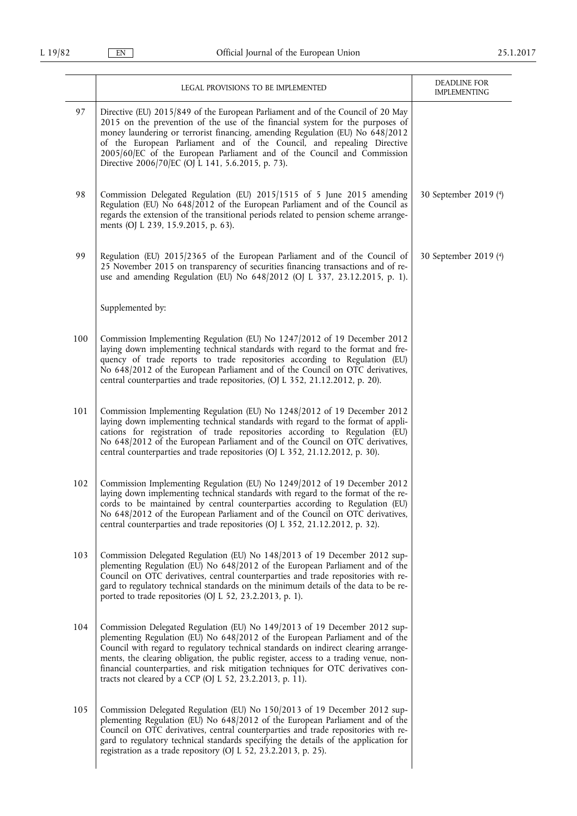|     | LEGAL PROVISIONS TO BE IMPLEMENTED                                                                                                                                                                                                                                                                                                                                                                                                                                                        | DEADLINE FOR<br><b>IMPLEMENTING</b> |
|-----|-------------------------------------------------------------------------------------------------------------------------------------------------------------------------------------------------------------------------------------------------------------------------------------------------------------------------------------------------------------------------------------------------------------------------------------------------------------------------------------------|-------------------------------------|
| 97  | Directive (EU) 2015/849 of the European Parliament and of the Council of 20 May<br>2015 on the prevention of the use of the financial system for the purposes of<br>money laundering or terrorist financing, amending Regulation (EU) No 648/2012<br>of the European Parliament and of the Council, and repealing Directive<br>2005/60/EC of the European Parliament and of the Council and Commission<br>Directive 2006/70/EC (OJ L 141, 5.6.2015, p. 73).                               |                                     |
| 98  | Commission Delegated Regulation (EU) 2015/1515 of 5 June 2015 amending<br>Regulation (EU) No 648/2012 of the European Parliament and of the Council as<br>regards the extension of the transitional periods related to pension scheme arrange-<br>ments (OJ L 239, 15.9.2015, p. 63).                                                                                                                                                                                                     | 30 September 2019 (4)               |
| 99  | Regulation (EU) 2015/2365 of the European Parliament and of the Council of<br>25 November 2015 on transparency of securities financing transactions and of re-<br>use and amending Regulation (EU) No 648/2012 (OJ L 337, 23.12.2015, p. 1).                                                                                                                                                                                                                                              | 30 September 2019 (4)               |
|     | Supplemented by:                                                                                                                                                                                                                                                                                                                                                                                                                                                                          |                                     |
| 100 | Commission Implementing Regulation (EU) No 1247/2012 of 19 December 2012<br>laying down implementing technical standards with regard to the format and fre-<br>quency of trade reports to trade repositories according to Regulation (EU)<br>No 648/2012 of the European Parliament and of the Council on OTC derivatives,<br>central counterparties and trade repositories, (OJ L 352, 21.12.2012, p. 20).                                                                               |                                     |
| 101 | Commission Implementing Regulation (EU) No 1248/2012 of 19 December 2012<br>laying down implementing technical standards with regard to the format of appli-<br>cations for registration of trade repositories according to Regulation (EU)<br>No 648/2012 of the European Parliament and of the Council on OTC derivatives,<br>central counterparties and trade repositories (OJ L 352, 21.12.2012, p. 30).                                                                              |                                     |
| 102 | Commission Implementing Regulation (EU) No 1249/2012 of 19 December 2012<br>laying down implementing technical standards with regard to the format of the re-<br>cords to be maintained by central counterparties according to Regulation (EU)<br>No 648/2012 of the European Parliament and of the Council on OTC derivatives,<br>central counterparties and trade repositories (OJ L 352, 21.12.2012, p. 32).                                                                           |                                     |
| 103 | Commission Delegated Regulation (EU) No 148/2013 of 19 December 2012 sup-<br>plementing Regulation (EU) No 648/2012 of the European Parliament and of the<br>Council on OTC derivatives, central counterparties and trade repositories with re-<br>gard to regulatory technical standards on the minimum details of the data to be re-<br>ported to trade repositories (OJ L 52, 23.2.2013, p. 1).                                                                                        |                                     |
| 104 | Commission Delegated Regulation (EU) No 149/2013 of 19 December 2012 sup-<br>plementing Regulation (EU) No 648/2012 of the European Parliament and of the<br>Council with regard to regulatory technical standards on indirect clearing arrange-<br>ments, the clearing obligation, the public register, access to a trading venue, non-<br>financial counterparties, and risk mitigation techniques for OTC derivatives con-<br>tracts not cleared by a CCP (OJ L 52, 23.2.2013, p. 11). |                                     |
| 105 | Commission Delegated Regulation (EU) No 150/2013 of 19 December 2012 sup-<br>plementing Regulation (EU) No 648/2012 of the European Parliament and of the<br>Council on OTC derivatives, central counterparties and trade repositories with re-<br>gard to regulatory technical standards specifying the details of the application for<br>registration as a trade repository (OJ L 52, 23.2.2013, p. 25).                                                                                |                                     |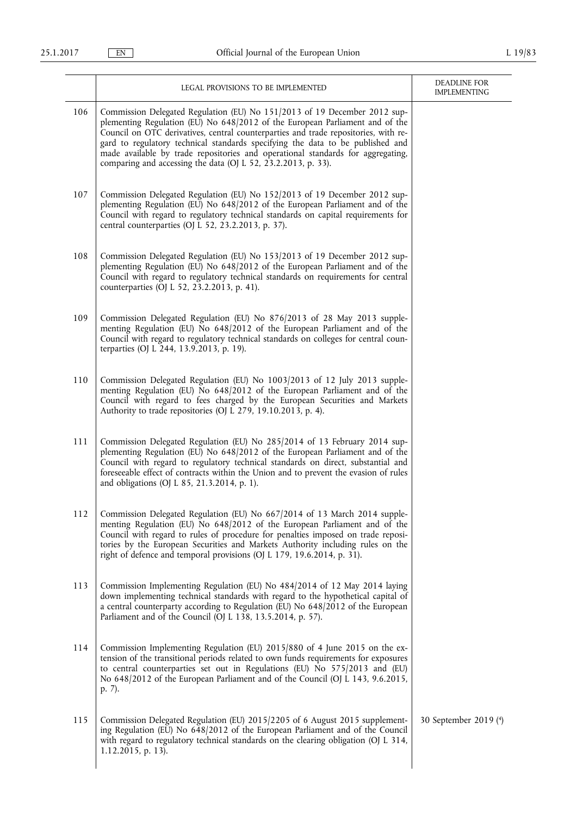|     | LEGAL PROVISIONS TO BE IMPLEMENTED                                                                                                                                                                                                                                                                                                                                                                                                                                                     | <b>DEADLINE FOR</b><br><b>IMPLEMENTING</b> |
|-----|----------------------------------------------------------------------------------------------------------------------------------------------------------------------------------------------------------------------------------------------------------------------------------------------------------------------------------------------------------------------------------------------------------------------------------------------------------------------------------------|--------------------------------------------|
| 106 | Commission Delegated Regulation (EU) No 151/2013 of 19 December 2012 sup-<br>plementing Regulation (EU) No 648/2012 of the European Parliament and of the<br>Council on OTC derivatives, central counterparties and trade repositories, with re-<br>gard to regulatory technical standards specifying the data to be published and<br>made available by trade repositories and operational standards for aggregating,<br>comparing and accessing the data (OJ L 52, 23.2.2013, p. 33). |                                            |
| 107 | Commission Delegated Regulation (EU) No 152/2013 of 19 December 2012 sup-<br>plementing Regulation (EU) No 648/2012 of the European Parliament and of the<br>Council with regard to regulatory technical standards on capital requirements for<br>central counterparties (OJ L 52, 23.2.2013, p. 37).                                                                                                                                                                                  |                                            |
| 108 | Commission Delegated Regulation (EU) No 153/2013 of 19 December 2012 sup-<br>plementing Regulation (EU) No 648/2012 of the European Parliament and of the<br>Council with regard to regulatory technical standards on requirements for central<br>counterparties (OJ L 52, 23.2.2013, p. 41).                                                                                                                                                                                          |                                            |
| 109 | Commission Delegated Regulation (EU) No 876/2013 of 28 May 2013 supple-<br>menting Regulation (EU) No 648/2012 of the European Parliament and of the<br>Council with regard to regulatory technical standards on colleges for central coun-<br>terparties (OJ L 244, 13.9.2013, p. 19).                                                                                                                                                                                                |                                            |
| 110 | Commission Delegated Regulation (EU) No 1003/2013 of 12 July 2013 supple-<br>menting Regulation (EU) No 648/2012 of the European Parliament and of the<br>Council with regard to fees charged by the European Securities and Markets<br>Authority to trade repositories (OJ L 279, 19.10.2013, p. 4).                                                                                                                                                                                  |                                            |
| 111 | Commission Delegated Regulation (EU) No 285/2014 of 13 February 2014 sup-<br>plementing Regulation (EU) No 648/2012 of the European Parliament and of the<br>Council with regard to regulatory technical standards on direct, substantial and<br>foreseeable effect of contracts within the Union and to prevent the evasion of rules<br>and obligations (OJ L 85, 21.3.2014, p. 1).                                                                                                   |                                            |
| 112 | Commission Delegated Regulation (EU) No 667/2014 of 13 March 2014 supple-<br>menting Regulation (EU) No 648/2012 of the European Parliament and of the<br>Council with regard to rules of procedure for penalties imposed on trade reposi-<br>tories by the European Securities and Markets Authority including rules on the<br>right of defence and temporal provisions (OJ L 179, 19.6.2014, p. 31).                                                                                 |                                            |
| 113 | Commission Implementing Regulation (EU) No 484/2014 of 12 May 2014 laying<br>down implementing technical standards with regard to the hypothetical capital of<br>a central counterparty according to Regulation (EU) No 648/2012 of the European<br>Parliament and of the Council (OJ L 138, 13.5.2014, p. 57).                                                                                                                                                                        |                                            |
| 114 | Commission Implementing Regulation (EU) 2015/880 of 4 June 2015 on the ex-<br>tension of the transitional periods related to own funds requirements for exposures<br>to central counterparties set out in Regulations (EU) No 575/2013 and (EU)<br>No 648/2012 of the European Parliament and of the Council (OJ L 143, 9.6.2015,<br>p. 7).                                                                                                                                            |                                            |
| 115 | Commission Delegated Regulation (EU) 2015/2205 of 6 August 2015 supplement-<br>ing Regulation (EU) No 648/2012 of the European Parliament and of the Council<br>with regard to regulatory technical standards on the clearing obligation (OJ L 314,<br>1.12.2015, p. 13).                                                                                                                                                                                                              | 30 September 2019 (4)                      |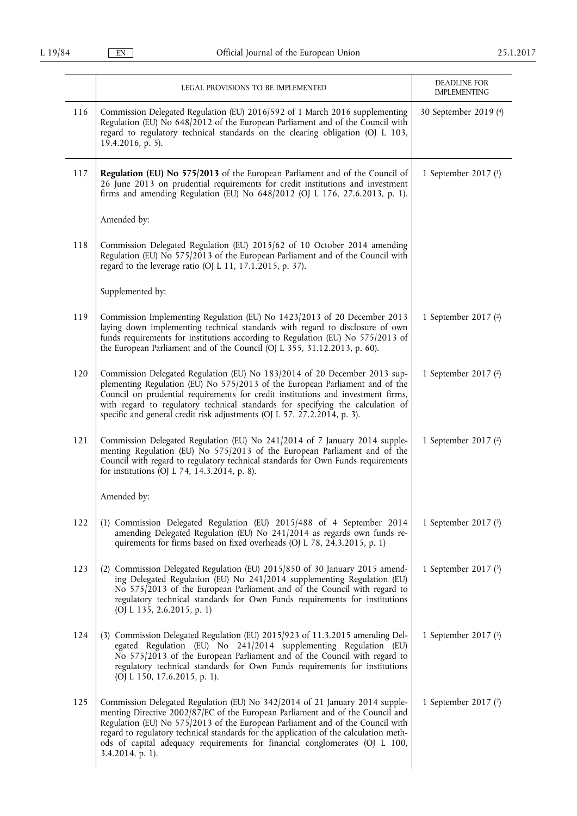|     | LEGAL PROVISIONS TO BE IMPLEMENTED                                                                                                                                                                                                                                                                                                                                                                                                          | DEADLINE FOR                                 |
|-----|---------------------------------------------------------------------------------------------------------------------------------------------------------------------------------------------------------------------------------------------------------------------------------------------------------------------------------------------------------------------------------------------------------------------------------------------|----------------------------------------------|
| 116 | Commission Delegated Regulation (EU) 2016/592 of 1 March 2016 supplementing<br>Regulation (EU) No 648/2012 of the European Parliament and of the Council with<br>regard to regulatory technical standards on the clearing obligation (OJ L 103,<br>19.4.2016, p. 5).                                                                                                                                                                        | <b>IMPLEMENTING</b><br>30 September 2019 (4) |
| 117 | Regulation (EU) No 575/2013 of the European Parliament and of the Council of<br>26 June 2013 on prudential requirements for credit institutions and investment<br>firms and amending Regulation (EU) No 648/2012 (OJ L 176, 27.6.2013, p. 1).                                                                                                                                                                                               | 1 September 2017 (1)                         |
|     | Amended by:                                                                                                                                                                                                                                                                                                                                                                                                                                 |                                              |
| 118 | Commission Delegated Regulation (EU) 2015/62 of 10 October 2014 amending<br>Regulation (EU) No 575/2013 of the European Parliament and of the Council with<br>regard to the leverage ratio (OJ L 11, 17.1.2015, p. 37).                                                                                                                                                                                                                     |                                              |
|     | Supplemented by:                                                                                                                                                                                                                                                                                                                                                                                                                            |                                              |
| 119 | Commission Implementing Regulation (EU) No 1423/2013 of 20 December 2013<br>laying down implementing technical standards with regard to disclosure of own<br>funds requirements for institutions according to Regulation (EU) No 575/2013 of<br>the European Parliament and of the Council (OJ L 355, 31.12.2013, p. 60).                                                                                                                   | 1 September 2017 (2)                         |
| 120 | Commission Delegated Regulation (EU) No 183/2014 of 20 December 2013 sup-<br>plementing Regulation (EU) No 575/2013 of the European Parliament and of the<br>Council on prudential requirements for credit institutions and investment firms,<br>with regard to regulatory technical standards for specifying the calculation of<br>specific and general credit risk adjustments (OJ L 57, 27.2.2014, p. 3).                                | 1 September 2017 (2)                         |
| 121 | Commission Delegated Regulation (EU) No 241/2014 of 7 January 2014 supple-<br>menting Regulation (EU) No 575/2013 of the European Parliament and of the<br>Council with regard to regulatory technical standards for Own Funds requirements<br>for institutions (OJ L 74, 14.3.2014, p. 8).                                                                                                                                                 | 1 September 2017 (2)                         |
|     | Amended by:                                                                                                                                                                                                                                                                                                                                                                                                                                 |                                              |
| 122 | (1) Commission Delegated Regulation (EU) 2015/488 of 4 September 2014<br>amending Delegated Regulation (EU) No 241/2014 as regards own funds re-<br>quirements for firms based on fixed overheads (OJ L 78, 24.3.2015, p. 1)                                                                                                                                                                                                                | 1 September 2017 $(3)$                       |
| 123 | (2) Commission Delegated Regulation (EU) 2015/850 of 30 January 2015 amend-<br>ing Delegated Regulation (EU) No 241/2014 supplementing Regulation (EU)<br>No 575/2013 of the European Parliament and of the Council with regard to<br>regulatory technical standards for Own Funds requirements for institutions<br>(OJ L 135, 2.6.2015, p. 1)                                                                                              | 1 September 2017 $(3)$                       |
| 124 | (3) Commission Delegated Regulation (EU) 2015/923 of 11.3.2015 amending Del-<br>egated Regulation (EU) No 241/2014 supplementing Regulation (EU)<br>No 575/2013 of the European Parliament and of the Council with regard to<br>regulatory technical standards for Own Funds requirements for institutions<br>(OJ L 150, 17.6.2015, p. 1).                                                                                                  | 1 September 2017 $(3)$                       |
| 125 | Commission Delegated Regulation (EU) No 342/2014 of 21 January 2014 supple-<br>menting Directive 2002/87/EC of the European Parliament and of the Council and<br>Regulation (EU) No 575/2013 of the European Parliament and of the Council with<br>regard to regulatory technical standards for the application of the calculation meth-<br>ods of capital adequacy requirements for financial conglomerates (OJ L 100,<br>3.4.2014, p. 1). | 1 September 2017 (2)                         |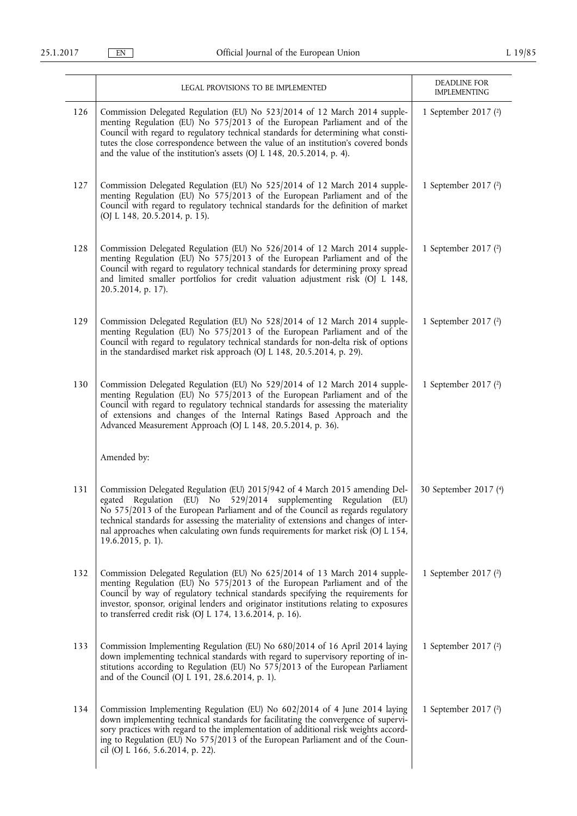|     | LEGAL PROVISIONS TO BE IMPLEMENTED                                                                                                                                                                                                                                                                                                                                                                                                          | DEADLINE FOR<br><b>IMPLEMENTING</b> |
|-----|---------------------------------------------------------------------------------------------------------------------------------------------------------------------------------------------------------------------------------------------------------------------------------------------------------------------------------------------------------------------------------------------------------------------------------------------|-------------------------------------|
| 126 | Commission Delegated Regulation (EU) No 523/2014 of 12 March 2014 supple-<br>menting Regulation (EU) No 575/2013 of the European Parliament and of the<br>Council with regard to regulatory technical standards for determining what consti-<br>tutes the close correspondence between the value of an institution's covered bonds<br>and the value of the institution's assets (OJ L 148, 20.5.2014, p. 4).                                | 1 September 2017 (2)                |
| 127 | Commission Delegated Regulation (EU) No 525/2014 of 12 March 2014 supple-<br>menting Regulation (EU) No 575/2013 of the European Parliament and of the<br>Council with regard to regulatory technical standards for the definition of market<br>(OJ L 148, 20.5.2014, p. 15).                                                                                                                                                               | 1 September 2017 (2)                |
| 128 | Commission Delegated Regulation (EU) No 526/2014 of 12 March 2014 supple-<br>menting Regulation (EU) No 575/2013 of the European Parliament and of the<br>Council with regard to regulatory technical standards for determining proxy spread<br>and limited smaller portfolios for credit valuation adjustment risk (OJ L 148,<br>20.5.2014, p. 17).                                                                                        | 1 September 2017 (2)                |
| 129 | Commission Delegated Regulation (EU) No 528/2014 of 12 March 2014 supple-<br>menting Regulation (EU) No 575/2013 of the European Parliament and of the<br>Council with regard to regulatory technical standards for non-delta risk of options<br>in the standardised market risk approach (OJ L 148, 20.5.2014, p. 29).                                                                                                                     | 1 September 2017 (2)                |
| 130 | Commission Delegated Regulation (EU) No 529/2014 of 12 March 2014 supple-<br>menting Regulation (EU) No 575/2013 of the European Parliament and of the<br>Council with regard to regulatory technical standards for assessing the materiality<br>of extensions and changes of the Internal Ratings Based Approach and the<br>Advanced Measurement Approach (OJ L 148, 20.5.2014, p. 36).                                                    | 1 September 2017 (2)                |
|     | Amended by:                                                                                                                                                                                                                                                                                                                                                                                                                                 |                                     |
| 131 | Commission Delegated Regulation (EU) 2015/942 of 4 March 2015 amending Del-<br>egated<br>Regulation (EU) No 529/2014 supplementing Regulation<br>(EU)<br>No 575/2013 of the European Parliament and of the Council as regards regulatory<br>technical standards for assessing the materiality of extensions and changes of inter-<br>nal approaches when calculating own funds requirements for market risk (OJ L 154,<br>19.6.2015, p. 1). | 30 September 2017 (4)               |
| 132 | Commission Delegated Regulation (EU) No 625/2014 of 13 March 2014 supple-<br>menting Regulation (EU) No 575/2013 of the European Parliament and of the<br>Council by way of regulatory technical standards specifying the requirements for<br>investor, sponsor, original lenders and originator institutions relating to exposures<br>to transferred credit risk (OJ L 174, 13.6.2014, p. 16).                                             | 1 September 2017 (2)                |
| 133 | Commission Implementing Regulation (EU) No 680/2014 of 16 April 2014 laying<br>down implementing technical standards with regard to supervisory reporting of in-<br>stitutions according to Regulation (EU) No 575/2013 of the European Parliament<br>and of the Council (OJ L 191, 28.6.2014, p. 1).                                                                                                                                       | 1 September 2017 (2)                |
| 134 | Commission Implementing Regulation (EU) No 602/2014 of 4 June 2014 laying<br>down implementing technical standards for facilitating the convergence of supervi-<br>sory practices with regard to the implementation of additional risk weights accord-<br>ing to Regulation (EU) No 575/2013 of the European Parliament and of the Coun-<br>cil (OJ L 166, 5.6.2014, p. 22).                                                                | 1 September 2017 (2)                |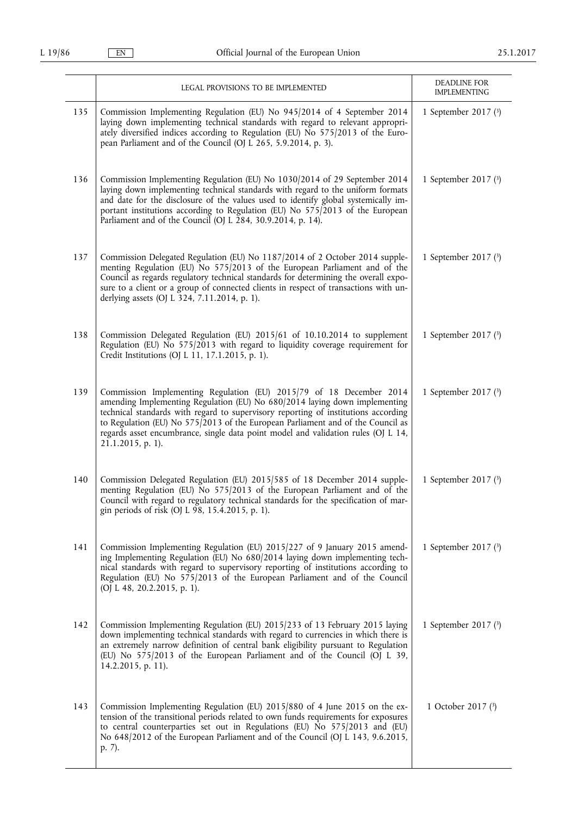|     | LEGAL PROVISIONS TO BE IMPLEMENTED                                                                                                                                                                                                                                                                                                                                                                                                   | DEADLINE FOR<br><b>IMPLEMENTING</b> |
|-----|--------------------------------------------------------------------------------------------------------------------------------------------------------------------------------------------------------------------------------------------------------------------------------------------------------------------------------------------------------------------------------------------------------------------------------------|-------------------------------------|
| 135 | Commission Implementing Regulation (EU) No 945/2014 of 4 September 2014<br>laying down implementing technical standards with regard to relevant appropri-<br>ately diversified indices according to Regulation (EU) No 575/2013 of the Euro-<br>pean Parliament and of the Council (OJ L 265, 5.9.2014, p. 3).                                                                                                                       | 1 September 2017 $(3)$              |
| 136 | Commission Implementing Regulation (EU) No 1030/2014 of 29 September 2014<br>laying down implementing technical standards with regard to the uniform formats<br>and date for the disclosure of the values used to identify global systemically im-<br>portant institutions according to Regulation (EU) No 575/2013 of the European<br>Parliament and of the Council (OJ L 284, 30.9.2014, p. 14).                                   | 1 September 2017 $(3)$              |
| 137 | Commission Delegated Regulation (EU) No 1187/2014 of 2 October 2014 supple-<br>menting Regulation (EU) No 575/2013 of the European Parliament and of the<br>Council as regards regulatory technical standards for determining the overall expo-<br>sure to a client or a group of connected clients in respect of transactions with un-<br>derlying assets (OJ L 324, 7.11.2014, p. 1).                                              | 1 September 2017 (3)                |
| 138 | Commission Delegated Regulation (EU) 2015/61 of 10.10.2014 to supplement<br>Regulation (EU) No 575/2013 with regard to liquidity coverage requirement for<br>Credit Institutions (OJ L 11, 17.1.2015, p. 1).                                                                                                                                                                                                                         | 1 September 2017 (3)                |
| 139 | Commission Implementing Regulation (EU) 2015/79 of 18 December 2014<br>amending Implementing Regulation (EU) No 680/2014 laying down implementing<br>technical standards with regard to supervisory reporting of institutions according<br>to Regulation (EU) No 575/2013 of the European Parliament and of the Council as<br>regards asset encumbrance, single data point model and validation rules (OJ L 14,<br>21.1.2015, p. 1). | 1 September 2017 (3)                |
| 140 | Commission Delegated Regulation (EU) 2015/585 of 18 December 2014 supple-<br>menting Regulation (EU) No 575/2013 of the European Parliament and of the<br>Council with regard to regulatory technical standards for the specification of mar-<br>gin periods of risk (OJ L 98, 15.4.2015, p. 1).                                                                                                                                     | 1 September 2017 (3)                |
| 141 | Commission Implementing Regulation (EU) 2015/227 of 9 January 2015 amend-<br>ing Implementing Regulation (EU) No 680/2014 laying down implementing tech-<br>nical standards with regard to supervisory reporting of institutions according to<br>Regulation (EU) No 575/2013 of the European Parliament and of the Council<br>(OJ L 48, 20.2.2015, p. 1).                                                                            | 1 September 2017 $(3)$              |
| 142 | Commission Implementing Regulation (EU) 2015/233 of 13 February 2015 laying<br>down implementing technical standards with regard to currencies in which there is<br>an extremely narrow definition of central bank eligibility pursuant to Regulation<br>(EU) No 575/2013 of the European Parliament and of the Council (OJ L 39,<br>14.2.2015, p. 11).                                                                              | 1 September 2017 (3)                |
| 143 | Commission Implementing Regulation (EU) 2015/880 of 4 June 2015 on the ex-<br>tension of the transitional periods related to own funds requirements for exposures<br>to central counterparties set out in Regulations (EU) No 575/2013 and (EU)<br>No 648/2012 of the European Parliament and of the Council (OJ L 143, 9.6.2015,<br>p. 7).                                                                                          | 1 October 2017 (3)                  |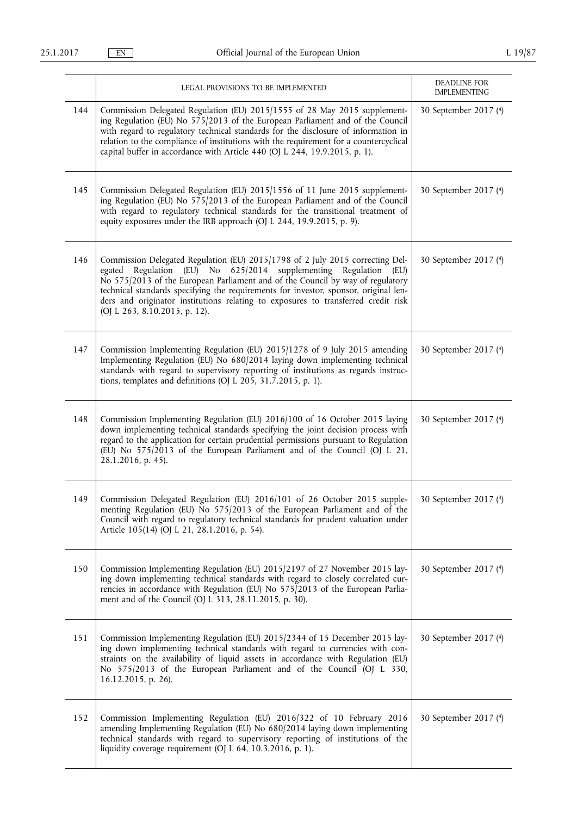|     | LEGAL PROVISIONS TO BE IMPLEMENTED                                                                                                                                                                                                                                                                                                                                                                                                                   | DEADLINE FOR<br><b>IMPLEMENTING</b> |
|-----|------------------------------------------------------------------------------------------------------------------------------------------------------------------------------------------------------------------------------------------------------------------------------------------------------------------------------------------------------------------------------------------------------------------------------------------------------|-------------------------------------|
| 144 | Commission Delegated Regulation (EU) 2015/1555 of 28 May 2015 supplement-<br>ing Regulation (EU) No 575/2013 of the European Parliament and of the Council<br>with regard to regulatory technical standards for the disclosure of information in<br>relation to the compliance of institutions with the requirement for a countercyclical<br>capital buffer in accordance with Article 440 (OJ L 244, 19.9.2015, p. 1).                              | 30 September 2017 (4)               |
| 145 | Commission Delegated Regulation (EU) 2015/1556 of 11 June 2015 supplement-<br>ing Regulation (EU) No 575/2013 of the European Parliament and of the Council<br>with regard to regulatory technical standards for the transitional treatment of<br>equity exposures under the IRB approach (OJ L 244, 19.9.2015, p. 9).                                                                                                                               | 30 September 2017 (4)               |
| 146 | Commission Delegated Regulation (EU) 2015/1798 of 2 July 2015 correcting Del-<br>Regulation (EU) No 625/2014 supplementing Regulation (EU)<br>egated<br>No 575/2013 of the European Parliament and of the Council by way of regulatory<br>technical standards specifying the requirements for investor, sponsor, original len-<br>ders and originator institutions relating to exposures to transferred credit risk<br>(OJ L 263, 8.10.2015, p. 12). | 30 September 2017 (4)               |
| 147 | Commission Implementing Regulation (EU) 2015/1278 of 9 July 2015 amending<br>Implementing Regulation (EU) No 680/2014 laying down implementing technical<br>standards with regard to supervisory reporting of institutions as regards instruc-<br>tions, templates and definitions (OJ L 205, 31.7.2015, p. 1).                                                                                                                                      | 30 September 2017 (4)               |
| 148 | Commission Implementing Regulation (EU) 2016/100 of 16 October 2015 laying<br>down implementing technical standards specifying the joint decision process with<br>regard to the application for certain prudential permissions pursuant to Regulation<br>(EU) No 575/2013 of the European Parliament and of the Council (OJ L 21,<br>28.1.2016, p. 45).                                                                                              | 30 September 2017 (4)               |
| 149 | Commission Delegated Regulation (EU) 2016/101 of 26 October 2015 supple-<br>menting Regulation (EU) No 575/2013 of the European Parliament and of the<br>Council with regard to regulatory technical standards for prudent valuation under<br>Article 105(14) (OJ L 21, 28.1.2016, p. 54).                                                                                                                                                           | 30 September 2017 (4)               |
| 150 | Commission Implementing Regulation (EU) 2015/2197 of 27 November 2015 lay-<br>ing down implementing technical standards with regard to closely correlated cur-<br>rencies in accordance with Regulation (EU) No 575/2013 of the European Parlia-<br>ment and of the Council (OJ L 313, 28.11.2015, p. 30).                                                                                                                                           | 30 September 2017 (4)               |
| 151 | Commission Implementing Regulation (EU) 2015/2344 of 15 December 2015 lay-<br>ing down implementing technical standards with regard to currencies with con-<br>straints on the availability of liquid assets in accordance with Regulation (EU)<br>No 575/2013 of the European Parliament and of the Council (OJ L 330,<br>16.12.2015, p. 26).                                                                                                       | 30 September 2017 (4)               |
| 152 | Commission Implementing Regulation (EU) 2016/322 of 10 February 2016<br>amending Implementing Regulation (EU) No 680/2014 laying down implementing<br>technical standards with regard to supervisory reporting of institutions of the<br>liquidity coverage requirement (OJ L 64, 10.3.2016, p. 1).                                                                                                                                                  | 30 September 2017 (4)               |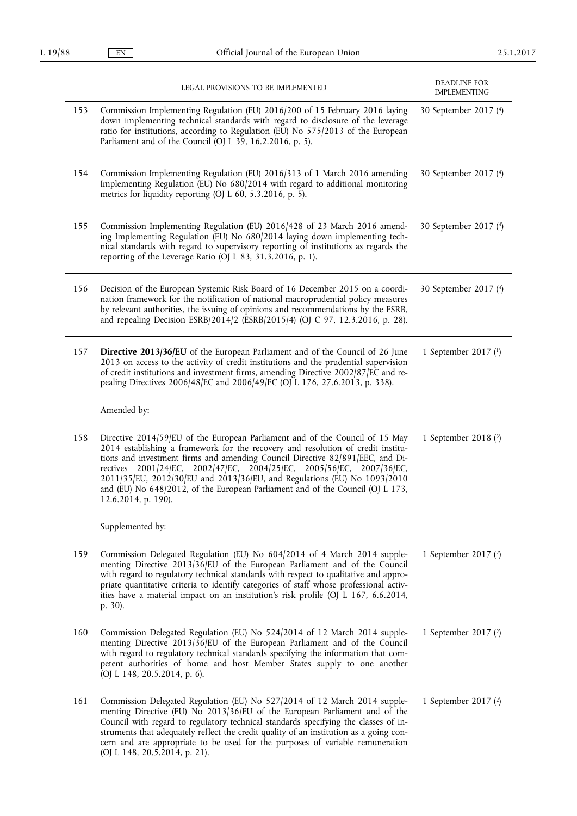|     | LEGAL PROVISIONS TO BE IMPLEMENTED                                                                                                                                                                                                                                                                                                                                                                                                                                                                             | DEADLINE FOR<br><b>IMPLEMENTING</b> |
|-----|----------------------------------------------------------------------------------------------------------------------------------------------------------------------------------------------------------------------------------------------------------------------------------------------------------------------------------------------------------------------------------------------------------------------------------------------------------------------------------------------------------------|-------------------------------------|
| 153 | Commission Implementing Regulation (EU) 2016/200 of 15 February 2016 laying<br>down implementing technical standards with regard to disclosure of the leverage<br>ratio for institutions, according to Regulation (EU) No 575/2013 of the European<br>Parliament and of the Council (OJ L 39, 16.2.2016, p. 5).                                                                                                                                                                                                | 30 September 2017 (4)               |
| 154 | Commission Implementing Regulation (EU) 2016/313 of 1 March 2016 amending<br>Implementing Regulation (EU) No 680/2014 with regard to additional monitoring<br>metrics for liquidity reporting (OJ L 60, 5.3.2016, p. 5).                                                                                                                                                                                                                                                                                       | 30 September 2017 (4)               |
| 155 | Commission Implementing Regulation (EU) 2016/428 of 23 March 2016 amend-<br>ing Implementing Regulation (EU) No 680/2014 laying down implementing tech-<br>nical standards with regard to supervisory reporting of institutions as regards the<br>reporting of the Leverage Ratio (OJ L 83, 31.3.2016, p. 1).                                                                                                                                                                                                  | 30 September 2017 (4)               |
| 156 | Decision of the European Systemic Risk Board of 16 December 2015 on a coordi-<br>nation framework for the notification of national macroprudential policy measures<br>by relevant authorities, the issuing of opinions and recommendations by the ESRB,<br>and repealing Decision ESRB/2014/2 (ESRB/2015/4) (OJ C 97, 12.3.2016, p. 28).                                                                                                                                                                       | 30 September 2017 (4)               |
| 157 | Directive 2013/36/EU of the European Parliament and of the Council of 26 June<br>2013 on access to the activity of credit institutions and the prudential supervision<br>of credit institutions and investment firms, amending Directive 2002/87/EC and re-<br>pealing Directives 2006/48/EC and 2006/49/EC (OJ L 176, 27.6.2013, p. 338).                                                                                                                                                                     | 1 September 2017 (1)                |
|     | Amended by:                                                                                                                                                                                                                                                                                                                                                                                                                                                                                                    |                                     |
| 158 | Directive 2014/59/EU of the European Parliament and of the Council of 15 May<br>2014 establishing a framework for the recovery and resolution of credit institu-<br>tions and investment firms and amending Council Directive 82/891/EEC, and Di-<br>rectives 2001/24/EC, 2002/47/EC, 2004/25/EC, 2005/56/EC, 2007/36/EC,<br>2011/35/EU, 2012/30/EU and 2013/36/EU, and Regulations (EU) No 1093/2010<br>and (EU) No 648/2012, of the European Parliament and of the Council (OJ L 173,<br>12.6.2014, p. 190). | 1 September 2018 $(3)$              |
|     | Supplemented by:                                                                                                                                                                                                                                                                                                                                                                                                                                                                                               |                                     |
| 159 | Commission Delegated Regulation (EU) No 604/2014 of 4 March 2014 supple-<br>menting Directive 2013/36/EU of the European Parliament and of the Council<br>with regard to regulatory technical standards with respect to qualitative and appro-<br>priate quantitative criteria to identify categories of staff whose professional activ-<br>ities have a material impact on an institution's risk profile (OJ L 167, 6.6.2014,<br>p. 30).                                                                      | 1 September 2017 (2)                |
| 160 | Commission Delegated Regulation (EU) No 524/2014 of 12 March 2014 supple-<br>menting Directive 2013/36/EU of the European Parliament and of the Council<br>with regard to regulatory technical standards specifying the information that com-<br>petent authorities of home and host Member States supply to one another<br>(OJ L 148, 20.5.2014, p. 6).                                                                                                                                                       | 1 September 2017 (2)                |
| 161 | Commission Delegated Regulation (EU) No 527/2014 of 12 March 2014 supple-<br>menting Directive (EU) No 2013/36/EU of the European Parliament and of the<br>Council with regard to regulatory technical standards specifying the classes of in-<br>struments that adequately reflect the credit quality of an institution as a going con-<br>cern and are appropriate to be used for the purposes of variable remuneration<br>(OJ L 148, 20.5.2014, p. 21).                                                     | 1 September 2017 $(2)$              |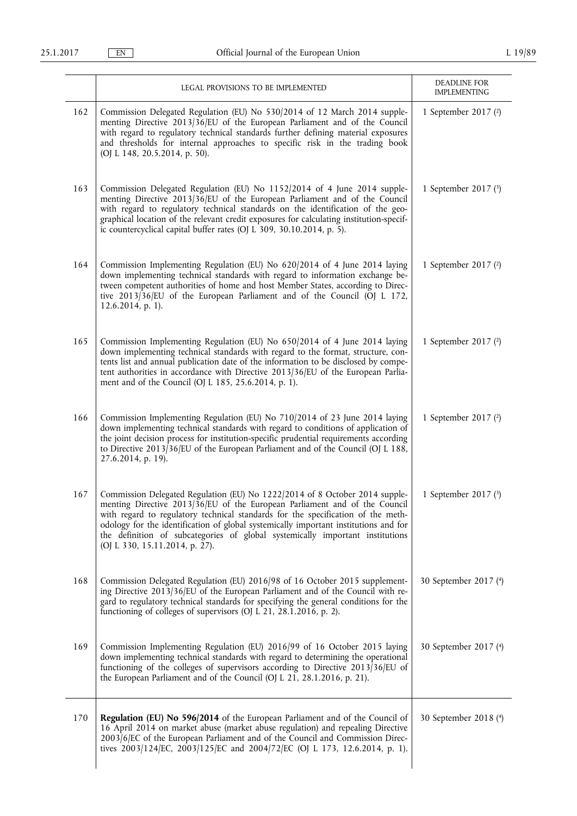|     | LEGAL PROVISIONS TO BE IMPLEMENTED                                                                                                                                                                                                                                                                                                                                                                                                                             | DEADLINE FOR<br><b>IMPLEMENTING</b> |
|-----|----------------------------------------------------------------------------------------------------------------------------------------------------------------------------------------------------------------------------------------------------------------------------------------------------------------------------------------------------------------------------------------------------------------------------------------------------------------|-------------------------------------|
| 162 | Commission Delegated Regulation (EU) No 530/2014 of 12 March 2014 supple-<br>menting Directive 2013/36/EU of the European Parliament and of the Council<br>with regard to regulatory technical standards further defining material exposures<br>and thresholds for internal approaches to specific risk in the trading book<br>(OJ L 148, 20.5.2014, p. 50).                                                                                                   | 1 September 2017 (2)                |
| 163 | Commission Delegated Regulation (EU) No 1152/2014 of 4 June 2014 supple-<br>menting Directive 2013/36/EU of the European Parliament and of the Council<br>with regard to regulatory technical standards on the identification of the geo-<br>graphical location of the relevant credit exposures for calculating institution-specif-<br>ic countercyclical capital buffer rates (OJ L 309, 30.10.2014, p. 5).                                                  | 1 September 2017 (3)                |
| 164 | Commission Implementing Regulation (EU) No 620/2014 of 4 June 2014 laying<br>down implementing technical standards with regard to information exchange be-<br>tween competent authorities of home and host Member States, according to Direc-<br>tive 2013/36/EU of the European Parliament and of the Council (OJ L 172,<br>12.6.2014, p. 1).                                                                                                                 | 1 September 2017 (2)                |
| 165 | Commission Implementing Regulation (EU) No 650/2014 of 4 June 2014 laying<br>down implementing technical standards with regard to the format, structure, con-<br>tents list and annual publication date of the information to be disclosed by compe-<br>tent authorities in accordance with Directive 2013/36/EU of the European Parlia-<br>ment and of the Council (OJ L 185, 25.6.2014, p. 1).                                                               | 1 September 2017 (2)                |
| 166 | Commission Implementing Regulation (EU) No 710/2014 of 23 June 2014 laying<br>down implementing technical standards with regard to conditions of application of<br>the joint decision process for institution-specific prudential requirements according<br>to Directive 2013/36/EU of the European Parliament and of the Council (OJ L 188,<br>27.6.2014, p. 19).                                                                                             | 1 September 2017 (2)                |
|     | 167   Commission Delegated Regulation (EU) No 1222/2014 of 8 October 2014 supple-<br>menting Directive 2013/36/EU of the European Parliament and of the Council<br>with regard to regulatory technical standards for the specification of the meth-<br>odology for the identification of global systemically important institutions and for<br>the definition of subcategories of global systemically important institutions<br>(OJ L 330, 15.11.2014, p. 27). | 1 September 2017 $(3)$              |
| 168 | Commission Delegated Regulation (EU) 2016/98 of 16 October 2015 supplement-<br>ing Directive 2013/36/EU of the European Parliament and of the Council with re-<br>gard to regulatory technical standards for specifying the general conditions for the<br>functioning of colleges of supervisors (OJ L 21, 28.1.2016, p. 2).                                                                                                                                   | 30 September 2017 (4)               |
| 169 | Commission Implementing Regulation (EU) 2016/99 of 16 October 2015 laying<br>down implementing technical standards with regard to determining the operational<br>functioning of the colleges of supervisors according to Directive 2013/36/EU of<br>the European Parliament and of the Council (OJ L 21, 28.1.2016, p. 21).                                                                                                                                    | 30 September 2017 (4)               |
| 170 | Regulation (EU) No 596/2014 of the European Parliament and of the Council of<br>16 April 2014 on market abuse (market abuse regulation) and repealing Directive<br>2003/6/EC of the European Parliament and of the Council and Commission Direc-<br>tives 2003/124/EC, 2003/125/EC and 2004/72/EC (OJ L 173, 12.6.2014, p. 1).                                                                                                                                 | 30 September 2018 (4)               |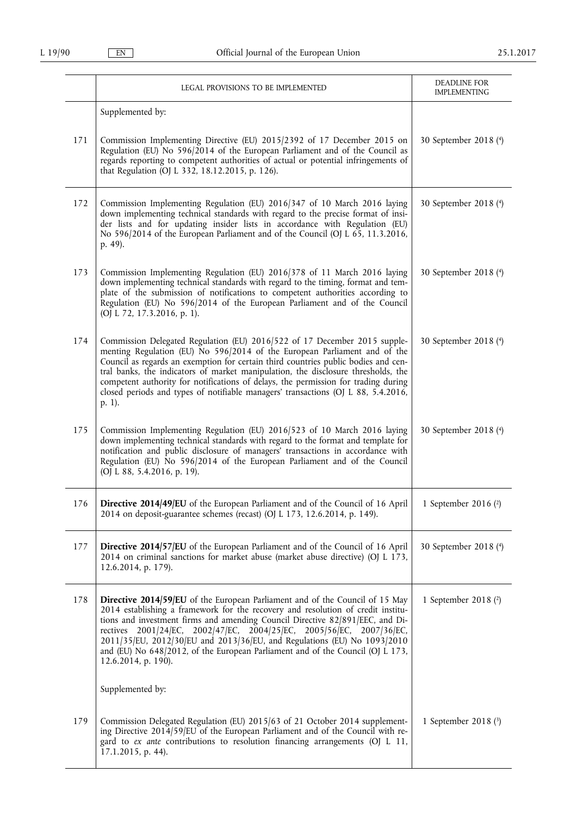|     | LEGAL PROVISIONS TO BE IMPLEMENTED                                                                                                                                                                                                                                                                                                                                                                                                                                                                                                 | DEADLINE FOR<br><b>IMPLEMENTING</b> |
|-----|------------------------------------------------------------------------------------------------------------------------------------------------------------------------------------------------------------------------------------------------------------------------------------------------------------------------------------------------------------------------------------------------------------------------------------------------------------------------------------------------------------------------------------|-------------------------------------|
|     | Supplemented by:                                                                                                                                                                                                                                                                                                                                                                                                                                                                                                                   |                                     |
| 171 | Commission Implementing Directive (EU) 2015/2392 of 17 December 2015 on<br>Regulation (EU) No 596/2014 of the European Parliament and of the Council as<br>regards reporting to competent authorities of actual or potential infringements of<br>that Regulation (OJ L 332, 18.12.2015, p. 126).                                                                                                                                                                                                                                   | 30 September 2018 (4)               |
| 172 | Commission Implementing Regulation (EU) 2016/347 of 10 March 2016 laying<br>down implementing technical standards with regard to the precise format of insi-<br>der lists and for updating insider lists in accordance with Regulation (EU)<br>No 596/2014 of the European Parliament and of the Council (OJ L 65, 11.3.2016,<br>p. 49).                                                                                                                                                                                           | 30 September 2018 (4)               |
| 173 | Commission Implementing Regulation (EU) 2016/378 of 11 March 2016 laying<br>down implementing technical standards with regard to the timing, format and tem-<br>plate of the submission of notifications to competent authorities according to<br>Regulation (EU) No 596/2014 of the European Parliament and of the Council<br>(OJ L 72, 17.3.2016, p. 1).                                                                                                                                                                         | 30 September 2018 (4)               |
| 174 | Commission Delegated Regulation (EU) 2016/522 of 17 December 2015 supple-<br>menting Regulation (EU) No 596/2014 of the European Parliament and of the<br>Council as regards an exemption for certain third countries public bodies and cen-<br>tral banks, the indicators of market manipulation, the disclosure thresholds, the<br>competent authority for notifications of delays, the permission for trading during<br>closed periods and types of notifiable managers' transactions (OJ L 88, 5.4.2016,<br>$p. 1$ ).          | 30 September 2018 (4)               |
| 175 | Commission Implementing Regulation (EU) 2016/523 of 10 March 2016 laying<br>down implementing technical standards with regard to the format and template for<br>notification and public disclosure of managers' transactions in accordance with<br>Regulation (EU) No 596/2014 of the European Parliament and of the Council<br>(OJ L 88, 5.4.2016, p. 19).                                                                                                                                                                        | 30 September 2018 (4)               |
| 176 | Directive 2014/49/EU of the European Parliament and of the Council of 16 April  <br>2014 on deposit-guarantee schemes (recast) (OJ L 173, 12.6.2014, p. 149).                                                                                                                                                                                                                                                                                                                                                                      | 1 September 2016 $(2)$              |
| 177 | Directive 2014/57/EU of the European Parliament and of the Council of 16 April<br>2014 on criminal sanctions for market abuse (market abuse directive) (OJ L 173,<br>12.6.2014, p. 179).                                                                                                                                                                                                                                                                                                                                           | 30 September 2018 (4)               |
| 178 | Directive 2014/59/EU of the European Parliament and of the Council of 15 May<br>2014 establishing a framework for the recovery and resolution of credit institu-<br>tions and investment firms and amending Council Directive 82/891/EEC, and Di-<br>rectives 2001/24/EC, 2002/47/EC, 2004/25/EC, 2005/56/EC, 2007/36/EC,<br>2011/35/EU, 2012/30/EU and 2013/36/EU, and Regulations (EU) No 1093/2010<br>and (EU) No 648/2012, of the European Parliament and of the Council (OJ L 173,<br>12.6.2014, p. 190).<br>Supplemented by: | 1 September 2018 (2)                |
|     |                                                                                                                                                                                                                                                                                                                                                                                                                                                                                                                                    |                                     |
| 179 | Commission Delegated Regulation (EU) 2015/63 of 21 October 2014 supplement-<br>ing Directive 2014/59/EU of the European Parliament and of the Council with re-<br>gard to ex ante contributions to resolution financing arrangements (OJ L 11,<br>17.1.2015, p. 44).                                                                                                                                                                                                                                                               | 1 September 2018 $(3)$              |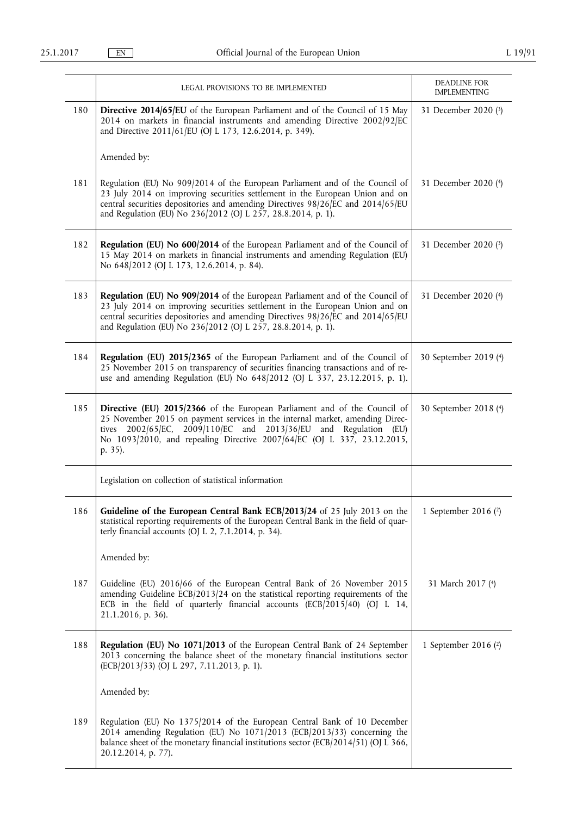|     | LEGAL PROVISIONS TO BE IMPLEMENTED                                                                                                                                                                                                                                                                                  | DEADLINE FOR<br><b>IMPLEMENTING</b> |
|-----|---------------------------------------------------------------------------------------------------------------------------------------------------------------------------------------------------------------------------------------------------------------------------------------------------------------------|-------------------------------------|
| 180 | Directive 2014/65/EU of the European Parliament and of the Council of 15 May<br>2014 on markets in financial instruments and amending Directive 2002/92/EC<br>and Directive 2011/61/EU (OJ L 173, 12.6.2014, p. 349).                                                                                               | 31 December 2020 (3)                |
|     | Amended by:                                                                                                                                                                                                                                                                                                         |                                     |
| 181 | Regulation (EU) No 909/2014 of the European Parliament and of the Council of<br>23 July 2014 on improving securities settlement in the European Union and on<br>central securities depositories and amending Directives 98/26/EC and 2014/65/EU<br>and Regulation (EU) No 236/2012 (OJ L 257, 28.8.2014, p. 1).     | 31 December 2020 (4)                |
| 182 | Regulation (EU) No 600/2014 of the European Parliament and of the Council of<br>15 May 2014 on markets in financial instruments and amending Regulation (EU)<br>No 648/2012 (OJ L 173, 12.6.2014, p. 84).                                                                                                           | 31 December 2020 (3)                |
| 183 | Regulation (EU) No 909/2014 of the European Parliament and of the Council of<br>23 July 2014 on improving securities settlement in the European Union and on<br>central securities depositories and amending Directives 98/26/EC and 2014/65/EU<br>and Regulation (EU) No 236/2012 (OJ L 257, 28.8.2014, p. 1).     | 31 December 2020 (4)                |
| 184 | Regulation (EU) 2015/2365 of the European Parliament and of the Council of<br>25 November 2015 on transparency of securities financing transactions and of re-<br>use and amending Regulation (EU) No 648/2012 (OJ L 337, 23.12.2015, p. 1).                                                                        | 30 September 2019 (4)               |
| 185 | Directive (EU) 2015/2366 of the European Parliament and of the Council of<br>25 November 2015 on payment services in the internal market, amending Direc-<br>tives 2002/65/EC, 2009/110/EC and 2013/36/EU and Regulation (EU)<br>No 1093/2010, and repealing Directive 2007/64/EC (OJ L 337, 23.12.2015,<br>p. 35). | 30 September 2018 (4)               |
|     | Legislation on collection of statistical information                                                                                                                                                                                                                                                                |                                     |
| 186 | Guideline of the European Central Bank ECB/2013/24 of 25 July 2013 on the<br>statistical reporting requirements of the European Central Bank in the field of quar-<br>terly financial accounts (OJ L 2, 7.1.2014, p. 34).                                                                                           | 1 September 2016 (2)                |
|     | Amended by:                                                                                                                                                                                                                                                                                                         |                                     |
| 187 | Guideline (EU) 2016/66 of the European Central Bank of 26 November 2015<br>amending Guideline ECB $/2013/24$ on the statistical reporting requirements of the<br>ECB in the field of quarterly financial accounts (ECB/2015/40) (OJ L 14,<br>21.1.2016, p. 36).                                                     | 31 March 2017 (4)                   |
| 188 | <b>Regulation (EU) No 1071/2013</b> of the European Central Bank of 24 September<br>2013 concerning the balance sheet of the monetary financial institutions sector<br>(ECB/2013/33) (OJ L 297, 7.11.2013, p. 1).                                                                                                   | 1 September 2016 (2)                |
|     | Amended by:                                                                                                                                                                                                                                                                                                         |                                     |
| 189 | Regulation (EU) No 1375/2014 of the European Central Bank of 10 December<br>2014 amending Regulation (EU) No 1071/2013 (ECB/2013/33) concerning the<br>balance sheet of the monetary financial institutions sector (ECB/2014/51) (OJ L 366,<br>20.12.2014, p. 77).                                                  |                                     |